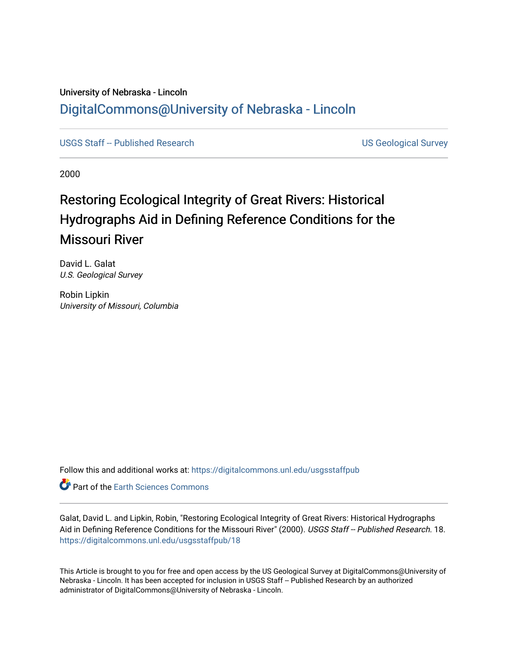## University of Nebraska - Lincoln [DigitalCommons@University of Nebraska - Lincoln](https://digitalcommons.unl.edu/)

[USGS Staff -- Published Research](https://digitalcommons.unl.edu/usgsstaffpub) USGS Staff -- Published Research

2000

# Restoring Ecological Integrity of Great Rivers: Historical Hydrographs Aid in Defining Reference Conditions for the Missouri River

David L. Galat U.S. Geological Survey

Robin Lipkin University of Missouri, Columbia

Follow this and additional works at: [https://digitalcommons.unl.edu/usgsstaffpub](https://digitalcommons.unl.edu/usgsstaffpub?utm_source=digitalcommons.unl.edu%2Fusgsstaffpub%2F18&utm_medium=PDF&utm_campaign=PDFCoverPages) 

Part of the [Earth Sciences Commons](http://network.bepress.com/hgg/discipline/153?utm_source=digitalcommons.unl.edu%2Fusgsstaffpub%2F18&utm_medium=PDF&utm_campaign=PDFCoverPages) 

Galat, David L. and Lipkin, Robin, "Restoring Ecological Integrity of Great Rivers: Historical Hydrographs Aid in Defining Reference Conditions for the Missouri River" (2000). USGS Staff -- Published Research. 18. [https://digitalcommons.unl.edu/usgsstaffpub/18](https://digitalcommons.unl.edu/usgsstaffpub/18?utm_source=digitalcommons.unl.edu%2Fusgsstaffpub%2F18&utm_medium=PDF&utm_campaign=PDFCoverPages) 

This Article is brought to you for free and open access by the US Geological Survey at DigitalCommons@University of Nebraska - Lincoln. It has been accepted for inclusion in USGS Staff -- Published Research by an authorized administrator of DigitalCommons@University of Nebraska - Lincoln.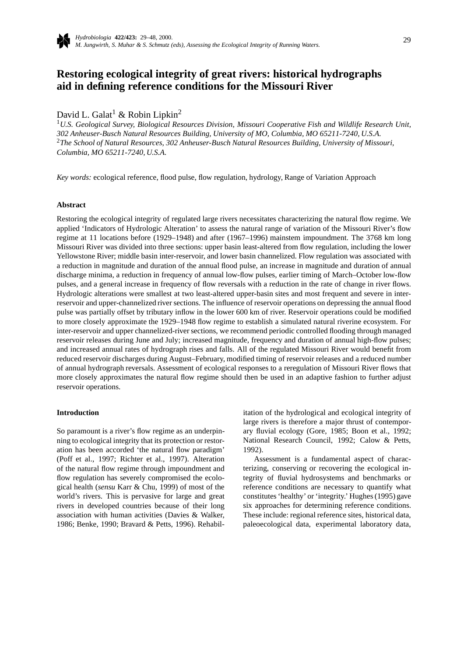

### **Restoring ecological integrity of great rivers: historical hydrographs aid in defining reference conditions for the Missouri River**

David L. Galat<sup>1</sup> & Robin Lipkin<sup>2</sup>

<sup>1</sup>*U.S. Geological Survey, Biological Resources Division, Missouri Cooperative Fish and Wildlife Research Unit, 302 Anheuser-Busch Natural Resources Building, University of MO, Columbia, MO 65211-7240, U.S.A.* <sup>2</sup>*The School of Natural Resources, 302 Anheuser-Busch Natural Resources Building, University of Missouri, Columbia, MO 65211-7240, U.S.A.*

*Key words:* ecological reference, flood pulse, flow regulation, hydrology, Range of Variation Approach

#### **Abstract**

Restoring the ecological integrity of regulated large rivers necessitates characterizing the natural flow regime. We applied 'Indicators of Hydrologic Alteration' to assess the natural range of variation of the Missouri River's flow regime at 11 locations before (1929–1948) and after (1967–1996) mainstem impoundment. The 3768 km long Missouri River was divided into three sections: upper basin least-altered from flow regulation, including the lower Yellowstone River; middle basin inter-reservoir, and lower basin channelized. Flow regulation was associated with a reduction in magnitude and duration of the annual flood pulse, an increase in magnitude and duration of annual discharge minima, a reduction in frequency of annual low-flow pulses, earlier timing of March–October low-flow pulses, and a general increase in frequency of flow reversals with a reduction in the rate of change in river flows. Hydrologic alterations were smallest at two least-altered upper-basin sites and most frequent and severe in interreservoir and upper-channelized river sections. The influence of reservoir operations on depressing the annual flood pulse was partially offset by tributary inflow in the lower 600 km of river. Reservoir operations could be modified to more closely approximate the 1929–1948 flow regime to establish a simulated natural riverine ecosystem. For inter-reservoir and upper channelized-river sections, we recommend periodic controlled flooding through managed reservoir releases during June and July; increased magnitude, frequency and duration of annual high-flow pulses; and increased annual rates of hydrograph rises and falls. All of the regulated Missouri River would benefit from reduced reservoir discharges during August–February, modified timing of reservoir releases and a reduced number of annual hydrograph reversals. Assessment of ecological responses to a reregulation of Missouri River flows that more closely approximates the natural flow regime should then be used in an adaptive fashion to further adjust reservoir operations.

#### **Introduction**

So paramount is a river's flow regime as an underpinning to ecological integrity that its protection or restoration has been accorded 'the natural flow paradigm' (Poff et al., 1997; Richter et al., 1997). Alteration of the natural flow regime through impoundment and flow regulation has severely compromised the ecological health (*sensu* Karr & Chu, 1999) of most of the world's rivers. This is pervasive for large and great rivers in developed countries because of their long association with human activities (Davies & Walker, 1986; Benke, 1990; Bravard & Petts, 1996). Rehabilitation of the hydrological and ecological integrity of large rivers is therefore a major thrust of contemporary fluvial ecology (Gore, 1985; Boon et al., 1992; National Research Council, 1992; Calow & Petts, 1992).

Assessment is a fundamental aspect of characterizing, conserving or recovering the ecological integrity of fluvial hydrosystems and benchmarks or reference conditions are necessary to quantify what constitutes 'healthy' or 'integrity.' Hughes (1995) gave six approaches for determining reference conditions. These include: regional reference sites, historical data, paleoecological data, experimental laboratory data,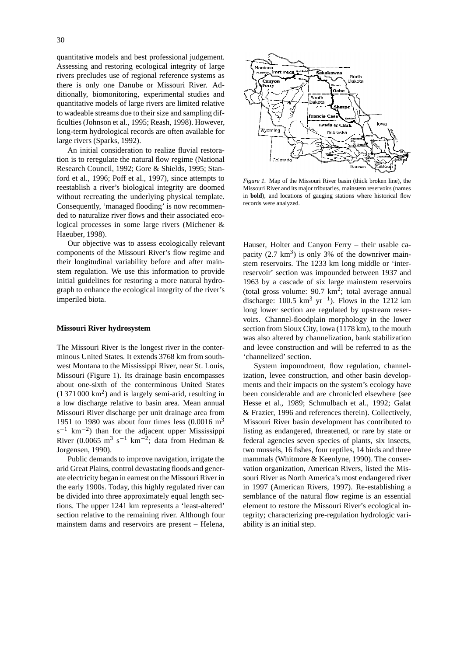quantitative models and best professional judgement. Assessing and restoring ecological integrity of large rivers precludes use of regional reference systems as there is only one Danube or Missouri River. Additionally, biomonitoring, experimental studies and quantitative models of large rivers are limited relative to wadeable streams due to their size and sampling difficulties (Johnson et al., 1995; Reash, 1998). However, long-term hydrological records are often available for large rivers (Sparks, 1992).

An initial consideration to realize fluvial restoration is to reregulate the natural flow regime (National Research Council, 1992; Gore & Shields, 1995; Stanford et al., 1996; Poff et al., 1997), since attempts to reestablish a river's biological integrity are doomed without recreating the underlying physical template. Consequently, 'managed flooding' is now recommended to naturalize river flows and their associated ecological processes in some large rivers (Michener & Haeuber, 1998).

Our objective was to assess ecologically relevant components of the Missouri River's flow regime and their longitudinal variability before and after mainstem regulation. We use this information to provide initial guidelines for restoring a more natural hydrograph to enhance the ecological integrity of the river's imperiled biota.

#### **Missouri River hydrosystem**

The Missouri River is the longest river in the conterminous United States. It extends 3768 km from southwest Montana to the Mississippi River, near St. Louis, Missouri (Figure 1). Its drainage basin encompasses about one-sixth of the conterminous United States  $(1371000 \text{ km}^2)$  and is largely semi-arid, resulting in a low discharge relative to basin area. Mean annual Missouri River discharge per unit drainage area from 1951 to 1980 was about four times less  $(0.0016 \text{ m}^3)$  $s^{-1}$  km<sup>-2</sup>) than for the adjacent upper Mississippi River (0.0065 m<sup>3</sup> s<sup>-1</sup> km<sup>-2</sup>; data from Hedman & Jorgensen, 1990).

Public demands to improve navigation, irrigate the arid Great Plains, control devastating floods and generate electricity began in earnest on the Missouri River in the early 1900s. Today, this highly regulated river can be divided into three approximately equal length sections. The upper 1241 km represents a 'least-altered' section relative to the remaining river. Although four mainstem dams and reservoirs are present – Helena,



*Figure 1.* Map of the Missouri River basin (thick broken line), the Missouri River and its major tributaries, mainstem reservoirs (names in **bold**), and locations of gauging stations where historical flow records were analyzed.

Hauser, Holter and Canyon Ferry – their usable capacity  $(2.7 \text{ km}^3)$  is only 3% of the downriver mainstem reservoirs. The 1233 km long middle or 'interreservoir' section was impounded between 1937 and 1963 by a cascade of six large mainstem reservoirs (total gross volume:  $90.7 \text{ km}^2$ ; total average annual discharge:  $100.5 \text{ km}^3 \text{ yr}^{-1}$ ). Flows in the 1212 km long lower section are regulated by upstream reservoirs. Channel-floodplain morphology in the lower section from Sioux City, Iowa (1178 km), to the mouth was also altered by channelization, bank stabilization and levee construction and will be referred to as the 'channelized' section.

System impoundment, flow regulation, channelization, levee construction, and other basin developments and their impacts on the system's ecology have been considerable and are chronicled elsewhere (see Hesse et al., 1989; Schmulbach et al., 1992; Galat & Frazier, 1996 and references therein). Collectively, Missouri River basin development has contributed to listing as endangered, threatened, or rare by state or federal agencies seven species of plants, six insects, two mussels, 16 fishes, four reptiles, 14 birds and three mammals (Whitmore & Keenlyne, 1990). The conservation organization, American Rivers, listed the Missouri River as North America's most endangered river in 1997 (American Rivers, 1997). Re-establishing a semblance of the natural flow regime is an essential element to restore the Missouri River's ecological integrity; characterizing pre-regulation hydrologic variability is an initial step.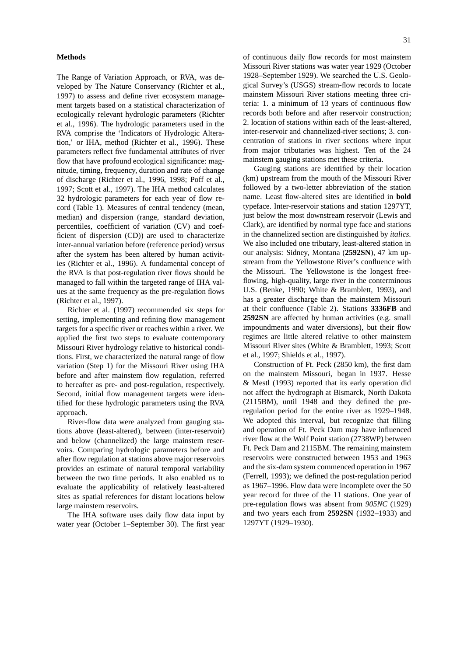#### **Methods**

The Range of Variation Approach, or RVA, was developed by The Nature Conservancy (Richter et al., 1997) to assess and define river ecosystem management targets based on a statistical characterization of ecologically relevant hydrologic parameters (Richter et al., 1996). The hydrologic parameters used in the RVA comprise the 'Indicators of Hydrologic Alteration,' or IHA, method (Richter et al., 1996). These parameters reflect five fundamental attributes of river flow that have profound ecological significance: magnitude, timing, frequency, duration and rate of change of discharge (Richter et al., 1996, 1998; Poff et al., 1997; Scott et al., 1997). The IHA method calculates 32 hydrologic parameters for each year of flow record (Table 1). Measures of central tendency (mean, median) and dispersion (range, standard deviation, percentiles, coefficient of variation (CV) and coefficient of dispersion (CD)) are used to characterize inter-annual variation before (reference period) *versus* after the system has been altered by human activities (Richter et al., 1996). A fundamental concept of the RVA is that post-regulation river flows should be managed to fall within the targeted range of IHA values at the same frequency as the pre-regulation flows (Richter et al., 1997).

Richter et al. (1997) recommended six steps for setting, implementing and refining flow management targets for a specific river or reaches within a river. We applied the first two steps to evaluate contemporary Missouri River hydrology relative to historical conditions. First, we characterized the natural range of flow variation (Step 1) for the Missouri River using IHA before and after mainstem flow regulation, referred to hereafter as pre- and post-regulation, respectively. Second, initial flow management targets were identified for these hydrologic parameters using the RVA approach.

River-flow data were analyzed from gauging stations above (least-altered), between (inter-reservoir) and below (channelized) the large mainstem reservoirs. Comparing hydrologic parameters before and after flow regulation at stations above major reservoirs provides an estimate of natural temporal variability between the two time periods. It also enabled us to evaluate the applicability of relatively least-altered sites as spatial references for distant locations below large mainstem reservoirs.

The IHA software uses daily flow data input by water year (October 1–September 30). The first year of continuous daily flow records for most mainstem Missouri River stations was water year 1929 (October 1928–September 1929). We searched the U.S. Geological Survey's (USGS) stream-flow records to locate mainstem Missouri River stations meeting three criteria: 1. a minimum of 13 years of continuous flow records both before and after reservoir construction; 2. location of stations within each of the least-altered, inter-reservoir and channelized-river sections; 3. concentration of stations in river sections where input from major tributaries was highest. Ten of the 24 mainstem gauging stations met these criteria.

Gauging stations are identified by their location (km) upstream from the mouth of the Missouri River followed by a two-letter abbreviation of the station name. Least flow-altered sites are identified in **bold** typeface. Inter-reservoir stations and station 1297YT, just below the most downstream reservoir (Lewis and Clark), are identified by normal type face and stations in the channelized section are distinguished by *italics*. We also included one tributary, least-altered station in our analysis: Sidney, Montana (**2592SN**), 47 km upstream from the Yellowstone River's confluence with the Missouri. The Yellowstone is the longest freeflowing, high-quality, large river in the conterminous U.S. (Benke, 1990; White & Bramblett, 1993), and has a greater discharge than the mainstem Missouri at their confluence (Table 2). Stations **3336FB** and **2592SN** are affected by human activities (e.g. small impoundments and water diversions), but their flow regimes are little altered relative to other mainstem Missouri River sites (White & Bramblett, 1993; Scott et al., 1997; Shields et al., 1997).

Construction of Ft. Peck (2850 km), the first dam on the mainstem Missouri, began in 1937. Hesse & Mestl (1993) reported that its early operation did not affect the hydrograph at Bismarck, North Dakota (2115BM), until 1948 and they defined the preregulation period for the entire river as 1929–1948. We adopted this interval, but recognize that filling and operation of Ft. Peck Dam may have influenced river flow at the Wolf Point station (2738WP) between Ft. Peck Dam and 2115BM. The remaining mainstem reservoirs were constructed between 1953 and 1963 and the six-dam system commenced operation in 1967 (Ferrell, 1993); we defined the post-regulation period as 1967–1996. Flow data were incomplete over the 50 year record for three of the 11 stations. One year of pre-regulation flows was absent from *905NC* (1929) and two years each from **2592SN** (1932–1933) and 1297YT (1929–1930).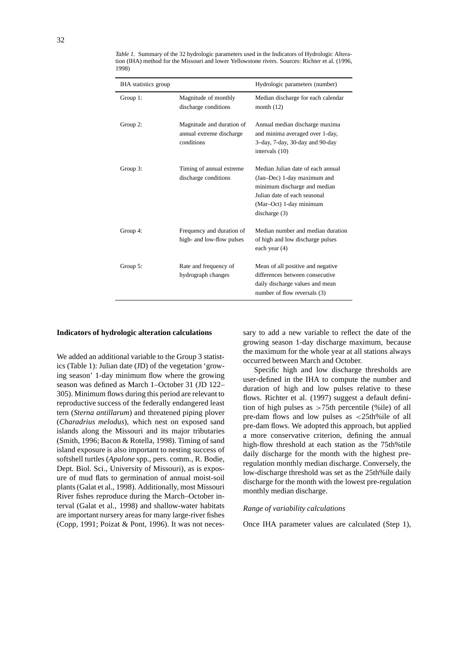| <b>IHA</b> statistics group |                                                                     | Hydrologic parameters (number)                                                                                                                                                 |
|-----------------------------|---------------------------------------------------------------------|--------------------------------------------------------------------------------------------------------------------------------------------------------------------------------|
| Group 1:                    | Magnitude of monthly<br>discharge conditions                        | Median discharge for each calendar<br>month $(12)$                                                                                                                             |
| Group 2:                    | Magnitude and duration of<br>annual extreme discharge<br>conditions | Annual median discharge maxima<br>and minima averaged over 1-day,<br>3-day, 7-day, 30-day and 90-day<br>intervals (10)                                                         |
| Group 3:                    | Timing of annual extreme.<br>discharge conditions                   | Median Julian date of each annual<br>(Jan-Dec) 1-day maximum and<br>minimum discharge and median<br>Julian date of each seasonal<br>(Mar-Oct) 1-day minimum<br>discharge $(3)$ |
| Group 4:                    | Frequency and duration of<br>high- and low-flow pulses              | Median number and median duration<br>of high and low discharge pulses<br>each year $(4)$                                                                                       |
| Group 5:                    | Rate and frequency of<br>hydrograph changes                         | Mean of all positive and negative<br>differences between consecutive<br>daily discharge values and mean<br>number of flow reversals (3)                                        |

*Table 1.* Summary of the 32 hydrologic parameters used in the Indicators of Hydrologic Alteration (IHA) method for the Missouri and lower Yellowstone rivers. Sources: Richter et al. (1996, 1998)

#### **Indicators of hydrologic alteration calculations**

We added an additional variable to the Group 3 statistics (Table 1): Julian date (JD) of the vegetation 'growing season' 1-day minimum flow where the growing season was defined as March 1–October 31 (JD 122– 305). Minimum flows during this period are relevant to reproductive success of the federally endangered least tern (*Sterna antillarum*) and threatened piping plover (*Charadrius melodus*), which nest on exposed sand islands along the Missouri and its major tributaries (Smith, 1996; Bacon & Rotella, 1998). Timing of sand island exposure is also important to nesting success of softshell turtles (*Apalone* spp., pers. comm., R. Bodie, Dept. Biol. Sci., University of Missouri), as is exposure of mud flats to germination of annual moist-soil plants (Galat et al., 1998). Additionally, most Missouri River fishes reproduce during the March–October interval (Galat et al., 1998) and shallow-water habitats are important nursery areas for many large-river fishes (Copp, 1991; Poizat & Pont, 1996). It was not necessary to add a new variable to reflect the date of the growing season 1-day discharge maximum, because the maximum for the whole year at all stations always occurred between March and October.

Specific high and low discharge thresholds are user-defined in the IHA to compute the number and duration of high and low pulses relative to these flows. Richter et al. (1997) suggest a default definition of high pulses as *>*75th percentile (%ile) of all pre-dam flows and low pulses as *<*25th%ile of all pre-dam flows. We adopted this approach, but applied a more conservative criterion, defining the annual high-flow threshold at each station as the 75th%tile daily discharge for the month with the highest preregulation monthly median discharge. Conversely, the low-discharge threshold was set as the 25th%ile daily discharge for the month with the lowest pre-regulation monthly median discharge.

#### *Range of variability calculations*

Once IHA parameter values are calculated (Step 1),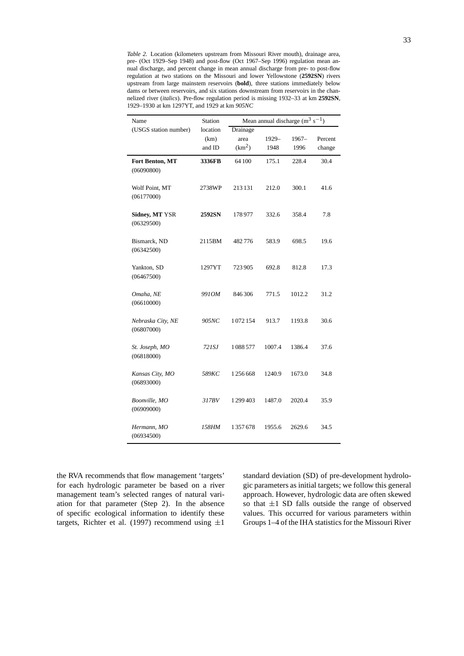*Table 2.* Location (kilometers upstream from Missouri River mouth), drainage area, pre- (Oct 1929–Sep 1948) and post-flow (Oct 1967–Sep 1996) regulation mean annual discharge, and percent change in mean annual discharge from pre- to post-flow regulation at two stations on the Missouri and lower Yellowstone (**2592SN**) rivers upstream from large mainstem reservoirs (**bold**), three stations immediately below dams or between reservoirs, and six stations downstream from reservoirs in the channelized river (*italics*). Pre-flow regulation period is missing 1932–33 at km **2592SN**, 1929–1930 at km 1297YT, and 1929 at km *905NC*

| Name                            | <b>Station</b> |                    | Mean annual discharge $(m^3 s^{-1})$ |         |         |
|---------------------------------|----------------|--------------------|--------------------------------------|---------|---------|
| (USGS station number)           | location       | Drainage           |                                      |         |         |
|                                 | (km)           | area               | 1929-                                | $1967-$ | Percent |
|                                 | and ID         | (km <sup>2</sup> ) | 1948                                 | 1996    | change  |
| Fort Benton, MT                 | 3336FB         | 64 100             | 175.1                                | 228.4   | 30.4    |
| (06090800)                      |                |                    |                                      |         |         |
|                                 |                |                    |                                      |         |         |
| Wolf Point, MT<br>(06177000)    | 2738WP         | 213 131            | 212.0                                | 300.1   | 41.6    |
|                                 |                |                    |                                      |         |         |
| <b>Sidney, MT YSR</b>           | 2592SN         | 178977             | 332.6                                | 358.4   | 7.8     |
| (06329500)                      |                |                    |                                      |         |         |
|                                 |                |                    |                                      |         |         |
| Bismarck, ND                    | 2115BM         | 482776             | 583.9                                | 698.5   | 19.6    |
| (06342500)                      |                |                    |                                      |         |         |
| Yankton, SD                     | 1297YT         | 723905             | 692.8                                | 812.8   | 17.3    |
| (06467500)                      |                |                    |                                      |         |         |
|                                 |                |                    |                                      |         |         |
| Omaha, NE                       | 9910M          | 846306             | 771.5                                | 1012.2  | 31.2    |
| (06610000)                      |                |                    |                                      |         |         |
|                                 |                |                    |                                      |         |         |
| Nebraska City, NE<br>(06807000) | <i>905NC</i>   | 1072154            | 913.7                                | 1193.8  | 30.6    |
|                                 |                |                    |                                      |         |         |
| St. Joseph, MO                  | 721SJ          | 1088577            | 1007.4                               | 1386.4  | 37.6    |
| (06818000)                      |                |                    |                                      |         |         |
|                                 |                |                    |                                      |         |         |
| Kansas City, MO                 | 589KC          | 1256668            | 1240.9                               | 1673.0  | 34.8    |
| (06893000)                      |                |                    |                                      |         |         |
| Boonville, MO                   | 317BV          | 1 299 403          | 1487.0                               | 2020.4  | 35.9    |
| (06909000)                      |                |                    |                                      |         |         |
|                                 |                |                    |                                      |         |         |
| Hermann, MO                     | 158HM          | 1357678            | 1955.6                               | 2629.6  | 34.5    |
| (06934500)                      |                |                    |                                      |         |         |

the RVA recommends that flow management 'targets' for each hydrologic parameter be based on a river management team's selected ranges of natural variation for that parameter (Step 2). In the absence of specific ecological information to identify these targets, Richter et al. (1997) recommend using  $\pm 1$  standard deviation (SD) of pre-development hydrologic parameters as initial targets; we follow this general approach. However, hydrologic data are often skewed so that  $\pm 1$  SD falls outside the range of observed values. This occurred for various parameters within Groups 1–4 of the IHA statistics for the Missouri River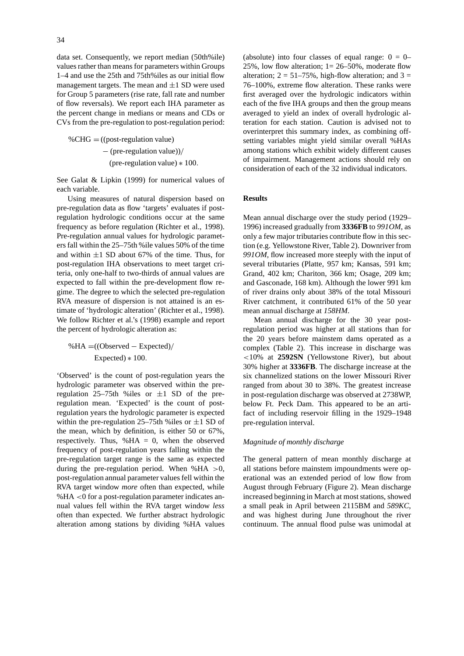data set. Consequently, we report median (50th%ile) values rather than means for parameters within Groups 1–4 and use the 25th and 75th%iles as our initial flow management targets. The mean and  $\pm 1$  SD were used for Group 5 parameters (rise rate, fall rate and number of flow reversals). We report each IHA parameter as the percent change in medians or means and CDs or CVs from the pre-regulation to post-regulation period:

 $\%CHG = ( (post-regulation value)$ − (pre-regulation value))*/* (pre-regulation value) ∗ 100*.*

See Galat & Lipkin (1999) for numerical values of each variable.

Using measures of natural dispersion based on pre-regulation data as flow 'targets' evaluates if postregulation hydrologic conditions occur at the same frequency as before regulation (Richter et al., 1998). Pre-regulation annual values for hydrologic parameters fall within the 25–75th %ile values 50% of the time and within  $\pm 1$  SD about 67% of the time. Thus, for post-regulation IHA observations to meet target criteria, only one-half to two-thirds of annual values are expected to fall within the pre-development flow regime. The degree to which the selected pre-regulation RVA measure of dispersion is not attained is an estimate of 'hydrologic alteration' (Richter et al., 1998). We follow Richter et al.'s (1998) example and report the percent of hydrologic alteration as:

%HA =((Observed − Expected)*/*  $Expected) * 100.$ 

'Observed' is the count of post-regulation years the hydrologic parameter was observed within the preregulation 25–75th %iles or  $\pm 1$  SD of the preregulation mean. 'Expected' is the count of postregulation years the hydrologic parameter is expected within the pre-regulation 25–75th %iles or  $\pm 1$  SD of the mean, which by definition, is either 50 or 67%, respectively. Thus,  $%HA = 0$ , when the observed frequency of post-regulation years falling within the pre-regulation target range is the same as expected during the pre-regulation period. When %HA *>*0, post-regulation annual parameter values fell within the RVA target window *more* often than expected, while %HA *<*0 for a post-regulation parameter indicates annual values fell within the RVA target window *less* often than expected. We further abstract hydrologic alteration among stations by dividing %HA values (absolute) into four classes of equal range:  $0 = 0$ – 25%, low flow alteration;  $1 = 26 - 50$ %, moderate flow alteration;  $2 = 51 - 75\%$ , high-flow alteration; and  $3 =$ 76–100%, extreme flow alteration. These ranks were first averaged over the hydrologic indicators within each of the five IHA groups and then the group means averaged to yield an index of overall hydrologic alteration for each station. Caution is advised not to overinterpret this summary index, as combining offsetting variables might yield similar overall %HAs among stations which exhibit widely different causes of impairment. Management actions should rely on consideration of each of the 32 individual indicators.

#### **Results**

Mean annual discharge over the study period (1929– 1996) increased gradually from **3336FB** to *991OM*, as only a few major tributaries contribute flow in this section (e.g. Yellowstone River, Table 2). Downriver from *991OM,* flow increased more steeply with the input of several tributaries (Platte, 957 km; Kansas, 591 km; Grand, 402 km; Chariton, 366 km; Osage, 209 km; and Gasconade, 168 km). Although the lower 991 km of river drains only about 38% of the total Missouri River catchment, it contributed 61% of the 50 year mean annual discharge at *158HM*.

Mean annual discharge for the 30 year postregulation period was higher at all stations than for the 20 years before mainstem dams operated as a complex (Table 2). This increase in discharge was *<*10% at **2592SN** (Yellowstone River), but about 30% higher at **3336FB**. The discharge increase at the six channelized stations on the lower Missouri River ranged from about 30 to 38%. The greatest increase in post-regulation discharge was observed at 2738WP, below Ft. Peck Dam. This appeared to be an artifact of including reservoir filling in the 1929–1948 pre-regulation interval.

#### *Magnitude of monthly discharge*

The general pattern of mean monthly discharge at all stations before mainstem impoundments were operational was an extended period of low flow from August through February (Figure 2). Mean discharge increased beginning in March at most stations, showed a small peak in April between 2115BM and *589KC*, and was highest during June throughout the river continuum. The annual flood pulse was unimodal at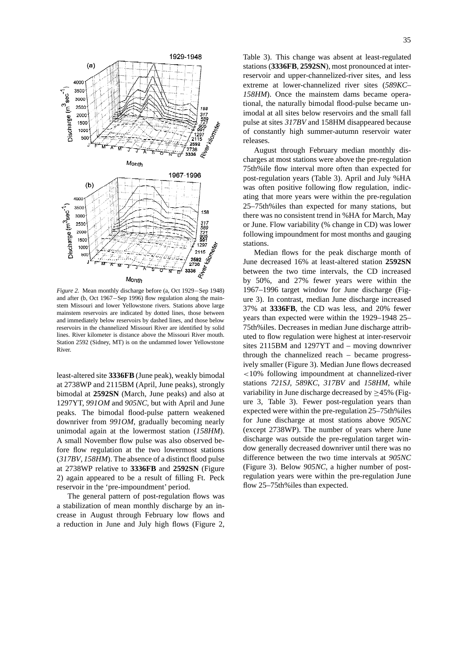

*Figure 2.* Mean monthly discharge before (a, Oct 1929−Sep 1948) and after (b, Oct 1967−Sep 1996) flow regulation along the mainstem Missouri and lower Yellowstone rivers. Stations above large mainstem reservoirs are indicated by dotted lines, those between and immediately below reservoirs by dashed lines, and those below reservoirs in the channelized Missouri River are identified by solid lines. River kilometer is distance above the Missouri River mouth. Station 2592 (Sidney, MT) is on the undammed lower Yellowstone River.

least-altered site **3336FB** (June peak), weakly bimodal at 2738WP and 2115BM (April, June peaks), strongly bimodal at **2592SN** (March, June peaks) and also at 1297YT, *991OM* and *905NC,* but with April and June peaks. The bimodal flood-pulse pattern weakened downriver from *991OM*, gradually becoming nearly unimodal again at the lowermost station (*158HM*). A small November flow pulse was also observed before flow regulation at the two lowermost stations (*317BV*, *158HM*). The absence of a distinct flood pulse at 2738WP relative to **3336FB** and **2592SN** (Figure 2) again appeared to be a result of filling Ft. Peck reservoir in the 'pre-impoundment' period.

The general pattern of post-regulation flows was a stabilization of mean monthly discharge by an increase in August through February low flows and a reduction in June and July high flows (Figure 2, Table 3). This change was absent at least-regulated stations (**3336FB**, **2592SN**), most pronounced at interreservoir and upper-channelized-river sites, and less extreme at lower-channelized river sites (*589KC*– *158HM*). Once the mainstem dams became operational, the naturally bimodal flood-pulse became unimodal at all sites below reservoirs and the small fall pulse at sites *317BV* and 158HM disappeared because of constantly high summer-autumn reservoir water releases.

August through February median monthly discharges at most stations were above the pre-regulation 75th%ile flow interval more often than expected for post-regulation years (Table 3). April and July %HA was often positive following flow regulation, indicating that more years were within the pre-regulation 25–75th%iles than expected for many stations, but there was no consistent trend in %HA for March, May or June. Flow variability (% change in CD) was lower following impoundment for most months and gauging stations.

Median flows for the peak discharge month of June decreased 16% at least-altered station **2592SN** between the two time intervals, the CD increased by 50%, and 27% fewer years were within the 1967–1996 target window for June discharge (Figure 3). In contrast, median June discharge increased 37% at **3336FB**, the CD was less, and 20% fewer years than expected were within the 1929–1948 25– 75th%iles. Decreases in median June discharge attributed to flow regulation were highest at inter-reservoir sites 2115BM and 1297YT and – moving downriver through the channelized reach – became progressively smaller (Figure 3). Median June flows decreased *<*10% following impoundment at channelized-river stations *721SJ, 589KC*, *317BV* and *158HM*, while variability in June discharge decreased by ≥45% (Figure 3, Table 3). Fewer post-regulation years than expected were within the pre-regulation 25–75th%iles for June discharge at most stations above *905NC* (except 2738WP). The number of years where June discharge was outside the pre-regulation target window generally decreased downriver until there was no difference between the two time intervals at *905NC* (Figure 3). Below *905NC*, a higher number of postregulation years were within the pre-regulation June flow 25–75th%iles than expected.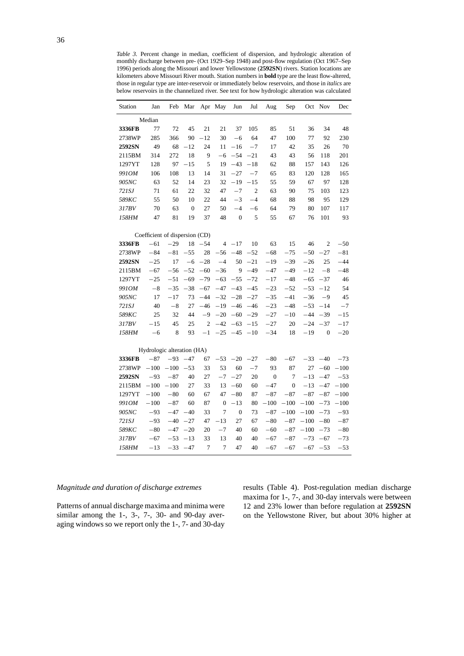*Table 3.* Percent change in median, coefficient of dispersion, and hydrologic alteration of monthly discharge between pre- (Oct 1929–Sep 1948) and post-flow regulation (Oct 1967–Sep 1996) periods along the Missouri and lower Yellowstone (**2592SN**) rivers. Station locations are kilometers above Missouri River mouth. Station numbers in **bold** type are the least flow-altered, those in regular type are inter-reservoir or immediately below reservoirs, and those in *italics* are below reservoirs in the channelized river. See text for how hydrologic alteration was calculated

| Station        | Jan                            | Feb        | Mar          |               | Apr May        | Jun              | Jul            | Aug              | Sep              | Oct            | <b>Nov</b>     | Dec        |
|----------------|--------------------------------|------------|--------------|---------------|----------------|------------------|----------------|------------------|------------------|----------------|----------------|------------|
|                | Median                         |            |              |               |                |                  |                |                  |                  |                |                |            |
| 3336FB         | 77                             | 72         | 45           | 21            | 21             | 37               | 105            | 85               | 51               | 36             | 34             | 48         |
| 2738WP         | 285                            | 366        | 90           | $-12$         | 30             | $-6$             | 64             | 47               | 100              | 77             | 92             | 230        |
| 2592SN         | 49                             | 68         | $-12$        | 24            | 11             | $-16$            | $-7$           | 17               | 42               | 35             | 26             | 70         |
| 2115BM         | 314                            | 272        | 18           | 9             | $-6$           | $-54$            | $-21$          | 43               | 43               | 56             | 118            | 201        |
| 1297YT         | 128                            | 97         | $-15$        | 5             | 19             | $-43$            | $-18$          | 62               | 88               | 157            | 143            | 126        |
| 991OM          | 106                            | 108        | 13           | 14            | 31             | $-27$            | $-7$           | 65               | 83               | 120            | 128            | 165        |
| 905NC          | 63                             | 52         | 14           | 23            | 32             | $-19$            | $-15$          | 55               | 59               | 67             | 97             | 128        |
| 721SJ          | 71                             | 61         | 22           | 32            | 47             | $-7$             | $\overline{2}$ | 63               | 90               | 75             | 103            | 123        |
| 589KC          | 55                             | 50         | 10           | 22            | 44             | $-3$             | $-4$           | 68               | 88               | 98             | 95             | 129        |
| 317BV          | 70                             | 63         | $\mathbf{0}$ | 27            | 50             | $-4$             | $-6$           | 64               | 79               | 80             | 107            | 117        |
| 158HM          | 47                             | 81         | 19           | 37            | 48             | $\mathbf{0}$     | 5              | 55               | 67               | 76             | 101            | 93         |
|                |                                |            |              |               |                |                  |                |                  |                  |                |                |            |
|                | Coefficient of dispersion (CD) |            |              |               |                |                  |                |                  |                  |                |                |            |
| 3336FB         | $-61$                          | $-29$      | 18           | $-54$         | 4              | $-17$            | 10             | 63               | 15               | 46             | $\overline{c}$ | $-50$      |
| 2738WP         | $-84$                          | $-81$      | $-55$        | 28            | $-56$          | $-48$            | $-52$          | $-68$            | $-75$            | $-50$          | $-27$          | $-81$      |
| 2592SN         | $-25$                          | 17         | $-6$         | $-28$         | $-4$           | 50               | $-21$          | $-19$            | $-39$            | $-26$          | 25             | $-44$      |
| 2115BM         | $-67$                          | $-56$      | $-52$        | $-60$         | $-36$          | 9                | $-49$          | $-47$            | $-49$            | $-12$          | $-8$           | $-48$      |
| 1297YT         | $-25$                          | $-51$      | $-69$        | $-79$         | $-63$          | $-55$            | $-72$          | $-17$            | $-48$            | $-65$          | $-37$          | 46         |
| 9910M          | $-8$                           | $-35$      | $-38$        | $-67$         | $-47$          | $-43$            | $-45$          | $-23$            | $-52$            | $-53$          | $-12$          | 54         |
| 905NC          | 17                             | $-17$      | 73<br>27     | $-44$         | $-32$          | $-28$<br>$-46$   | $-27$<br>$-46$ | $-35$            | $-41$<br>$-48$   | $-36$          | $-9$           | 45<br>$-7$ |
| 721SJ<br>589KC | 40<br>25                       | $-8$<br>32 | 44           | $-46$<br>$-9$ | $-19$<br>$-20$ | $-60$            | $-29$          | $-23$<br>$-27$   | $-10$            | $-53$<br>$-44$ | $-14$<br>$-39$ | $-15$      |
|                |                                |            |              |               |                |                  |                |                  |                  |                |                |            |
| 317BV          | $-15$<br>$-6$                  | 45<br>8    | 25<br>93     | 2<br>$-1$     | $-42$<br>$-25$ | $-63$            | $-15$          | $-27$<br>$-34$   | 20               | $-24$          | $-37$          | $-17$      |
| 158HM          |                                |            |              |               |                | $-45$            | $-10$          |                  | 18               | $-19$          | $\mathbf{0}$   | $-20$      |
|                | Hydrologic alteration (HA)     |            |              |               |                |                  |                |                  |                  |                |                |            |
| 3336FB         | $-87$                          | $-93$      | $-47$        | 67            | $-53$          | $-20$            | $-27$          | $-80$            | $-67$            | $-33$          | $-40$          | $-73$      |
| 2738WP         | $-100$                         | $-100$     | $-53$        | 33            | 53             | 60               | $-7$           | 93               | 87               | 27             | $-60$          | $-100$     |
| 2592SN         | $-93$                          | $-87$      | 40           | 27            | $-7$           | $-27$            | 20             | $\boldsymbol{0}$ | $\tau$           | $-13$          | $-47$          | $-53$      |
| 2115BM         | $-100$                         | $-100$     | 27           | 33            | 13             | $-60$            | 60             | $-47$            | $\boldsymbol{0}$ | $-13$          | $-47$          | $-100$     |
| 1297YT         | $-100$                         | $-80$      | 60           | 67            | 47             | $-80$            | 87             | $-87$            | $-87$            | $-87$          | $-87$          | $-100$     |
| 9910M          | $-100$                         | $-87$      | 60           | 87            | $\mathbf{0}$   | $-13$            | 80             | $-100$           | $-100$           | $-100$         | $-73$          | $-100$     |
| 905NC          | $-93$                          | $-47$      | $-40$        | 33            | 7              | $\boldsymbol{0}$ | 73             | $-87$            | $-100$           | $-100$         | $-73$          | $-93$      |
| 721SJ          | $-93$                          | $-40$      | $-27$        | 47            | $-13$          | 27               | 67             | $-80$            | $-87$            | $-100$         | $-80$          | $-87$      |
| <i>589KC</i>   | $-80$                          | $-47$      | $-20$        | 20            | $-7$           | 40               | 60             | $-60$            | $-87$            | $-100$         | $-73$          | $-80$      |
| 317BV          | $-67$                          | $-53$      | $-13$        | 33            | 13             | 40               | 40             | $-67$            | $-87$            | $-73$          | $-67$          | $-73$      |
| 158HM          | $-13$                          | $-33$      | $-47$        | 7             | 7              | 47               | 40             | $-67$            | $-67$            | $-67$          | $-53$          | $-53$      |

#### *Magnitude and duration of discharge extremes*

Patterns of annual discharge maxima and minima were similar among the 1-, 3-, 7-, 30- and 90-day averaging windows so we report only the 1-, 7- and 30-day results (Table 4). Post-regulation median discharge maxima for 1-, 7-, and 30-day intervals were between 12 and 23% lower than before regulation at **2592SN** on the Yellowstone River, but about 30% higher at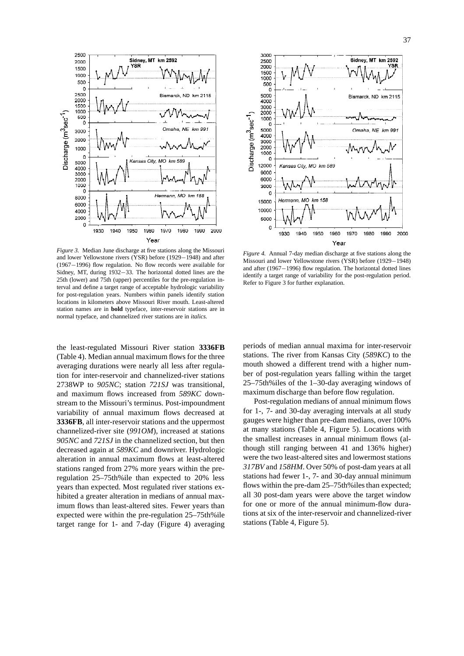

*Figure 3.* Median June discharge at five stations along the Missouri and lower Yellowstone rivers (YSR) before (1929−1948) and after (1967−1996) flow regulation. No flow records were available for Sidney, MT, during 1932−33. The horizontal dotted lines are the 25th (lower) and 75th (upper) percentiles for the pre-regulation interval and define a target range of acceptable hydrologic variability for post-regulation years. Numbers within panels identify station locations in kilometers above Missouri River mouth. Least-altered station names are in **bold** typeface, inter-reservoir stations are in normal typeface, and channelized river stations are in *italics.*

the least-regulated Missouri River station **3336FB** (Table 4). Median annual maximum flows for the three averaging durations were nearly all less after regulation for inter-reservoir and channelized-river stations 2738WP to *905NC*; station *721SJ* was transitional, and maximum flows increased from *589KC* downstream to the Missouri's terminus. Post-impoundment variability of annual maximum flows decreased at **3336FB**, all inter-reservoir stations and the uppermost channelized-river site (*991OM*), increased at stations *905NC* and *721SJ* in the channelized section, but then decreased again at *589KC* and downriver. Hydrologic alteration in annual maximum flows at least-altered stations ranged from 27% more years within the preregulation 25–75th%ile than expected to 20% less years than expected. Most regulated river stations exhibited a greater alteration in medians of annual maximum flows than least-altered sites. Fewer years than expected were within the pre-regulation 25–75th%ile target range for 1- and 7-day (Figure 4) averaging



*Figure 4.* Annual 7-day median discharge at five stations along the Missouri and lower Yellowstone rivers (YSR) before (1929−1948) and after (1967−1996) flow regulation. The horizontal dotted lines identify a target range of variability for the post-regulation period. Refer to Figure 3 for further explanation.

periods of median annual maxima for inter-reservoir stations. The river from Kansas City (*589KC*) to the mouth showed a different trend with a higher number of post-regulation years falling within the target 25–75th%iles of the 1–30-day averaging windows of maximum discharge than before flow regulation.

Post-regulation medians of annual minimum flows for 1-, 7- and 30-day averaging intervals at all study gauges were higher than pre-dam medians, over 100% at many stations (Table 4, Figure 5). Locations with the smallest increases in annual minimum flows (although still ranging between 41 and 136% higher) were the two least-altered sites and lowermost stations *317BV* and *158HM*. Over 50% of post-dam years at all stations had fewer 1-, 7- and 30-day annual minimum flows within the pre-dam 25–75th%iles than expected; all 30 post-dam years were above the target window for one or more of the annual minimum-flow durations at six of the inter-reservoir and channelized-river stations (Table 4, Figure 5).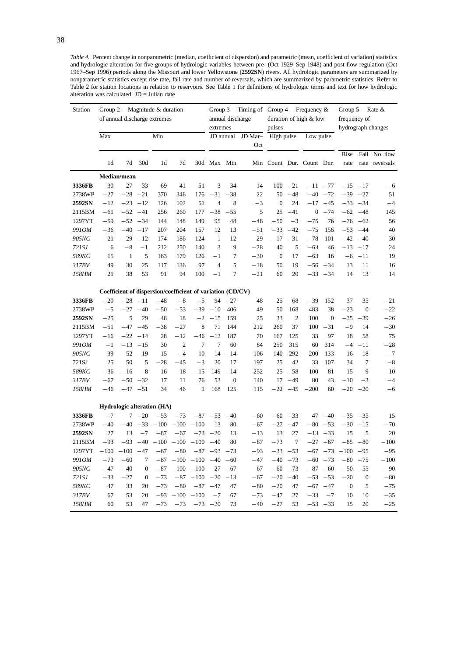*Table 4.* Percent change in nonparametric (median, coefficient of dispersion) and parametric (mean, coefficient of variation) statistics and hydrologic alteration for five groups of hydrologic variables between pre- (Oct 1929–Sep 1948) and post-flow regulation (Oct 1967–Sep 1996) periods along the Missouri and lower Yellowstone (**2592SN**) rivers. All hydrologic parameters are summarized by nonparametric statistics except rise rate, fall rate and number of reversals, which are summarized by parametric statistics. Refer to Table 2 for station locations in relation to reservoirs. See Table 1 for definitions of hydrologic terms and text for how hydrologic alteration was calculated. JD = Julian date

| Station      |                | Group $2 -$ Magnitude & duration<br>of annual discharge extremes |                  |            |                                                            |              | extremes                | annual discharge | Group $3 -$ Timing of Group $4 -$ Frequency & | pulses           |                | duration of high & low    |              | Group $5 -$ Rate &<br>frequency of |              | hydrograph changes         |
|--------------|----------------|------------------------------------------------------------------|------------------|------------|------------------------------------------------------------|--------------|-------------------------|------------------|-----------------------------------------------|------------------|----------------|---------------------------|--------------|------------------------------------|--------------|----------------------------|
|              | Max            |                                                                  |                  | Min        |                                                            |              |                         | JD annual        | JD Mar-                                       | High pulse       |                | Low pulse                 |              |                                    |              |                            |
|              |                |                                                                  |                  |            |                                                            |              |                         |                  | Oct                                           |                  |                |                           |              |                                    |              |                            |
|              | 1 <sub>d</sub> | 7d                                                               | 30d              | 1d         | 7d                                                         |              | 30d Max Min             |                  |                                               |                  |                | Min Count Dur. Count Dur. |              | Rise<br>rate                       | Fall         | No. flow<br>rate reversals |
|              |                | Median/mean                                                      |                  |            |                                                            |              |                         |                  |                                               |                  |                |                           |              |                                    |              |                            |
| 3336FB       | 30             | 27                                                               | 33               | 69         | 41                                                         | 51           | 3                       | 34               | 14                                            | 100              | $-21$          | $-11$                     | $-77$        | $-15$                              | $-17$        | $-6$                       |
| 2738WP       | $-27$          | $-28$                                                            | $-21$            | 370        | 346                                                        | 176          | $-31$                   | $-38$            | 22                                            | 50               | $-48$          | $-40$                     | $-72$        |                                    | $-39 -27$    | 51                         |
| 2592SN       | $-12$          |                                                                  | $-23 -12$        | 126        | 102                                                        | 51           | $\overline{\mathbf{4}}$ | 8                | $-3$                                          | $\boldsymbol{0}$ | 24             | $-17$                     | $-45$        |                                    | $-33 - 34$   | $-4$                       |
| 2115BM       | $-61$          | $-52$                                                            | $-41$            | 256        | 260                                                        | 177          | $-38$                   | $-55$            | 5                                             | 25               | $-41$          | $\boldsymbol{0}$          | $-74$        |                                    | $-62 -48$    | 145                        |
| 1297YT       | $-59$          |                                                                  | $-52 -34$        | 144        | 148                                                        | 149          | 95                      | 48               | $-48$                                         | $-50$            | $-3$           | $-75$                     | 76           |                                    | $-76 -62$    | 56                         |
| 991OM        | $-36$          | $-40$                                                            | $-17$            | 207        | 204                                                        | 157          | 12                      | 13               | $-51$                                         | $-33$            | $-42$          | $-75$                     | 156          | $-53$                              | -44          | 40                         |
| 905NC        | $-21$          | $-29$                                                            | $-12$            | 174        | 186                                                        | 124          | $\mathbf{1}$            | 12               | $-29$                                         | $-17$            | $-31$          | $-78$                     | 101          | $-42$                              | $-40$        | 30                         |
| 721SJ        | 6              | $-8$                                                             | $-1$             | 212        | 250                                                        | 140          | 3                       | 9                | $-28$                                         | 40               | 5              | $-63$                     | 46           |                                    | $-13 -17$    | 24                         |
| 589KC        | 15             | $\mathbf{1}$                                                     | 5                | 163        | 179                                                        | 126          | $-1$                    | 7                | $-30$                                         | $\mathbf{0}$     | 17             | $-63$                     | 16           | $-6$                               | $-11$        | 19                         |
| 317BV        | 49             | 30                                                               | 25               | 117        | 136                                                        | 97           | $\overline{4}$          | 5                | $-18$                                         | 50               | 19             | $-56$                     | $-34$        | 13                                 | 11           | 16                         |
| 158HM        | 21             | 38                                                               | 53               | 91         | 94                                                         | 100          | $-1$                    | 7                | $-21$                                         | 60               | 20             |                           | $-33 - 34$   | 14                                 | 13           | 14                         |
|              |                |                                                                  |                  |            |                                                            |              |                         |                  |                                               |                  |                |                           |              |                                    |              |                            |
|              |                |                                                                  |                  |            | Coefficient of dispersion/coefficient of variation (CD/CV) |              |                         |                  |                                               |                  |                |                           |              |                                    |              |                            |
| 3336FB       | $-20$          | $-28$                                                            | $-11$            | $-48$      | $-8$                                                       | $-5$         | 94                      | $-27$            | 48                                            | 25               | 68             | -39                       | 152          | 37                                 | 35           | $-21$                      |
| 2738WP       | $-5$           | $-27$                                                            | $-40$            | $-50$      | $-53$                                                      | $-39$        | $-10$                   | 406              | 49                                            | 50               | 168            | 483                       | 38           | $-23$                              | $\mathbf{0}$ | $-22$                      |
| 2592SN       | $-25$          | 5                                                                | 29               | 48         | 18                                                         | $-2$         | $-15$                   | 159              | 25                                            | 33               | $\overline{c}$ | 100                       | $\mathbf{0}$ | $-35$                              | $-39$        | $-26$                      |
| 2115BM       | $-51$          | $-47$                                                            | $-45$            | $-38$      | $-27$                                                      | 8            | 71                      | 144              | 212                                           | 260              | 37             | 100                       | $-31$        | $-9$                               | 14           | $-30$                      |
| 1297YT       | $-16$          | $-22$                                                            | $-14$            | 28         | $-12$                                                      | $-46$        | $-12$                   | 187              | 70                                            | 167              | 125            | 33                        | 97           | 18                                 | 58           | 75                         |
| 991OM        | $-1$           | $-13$                                                            | $-15$            | 30         | $\overline{c}$                                             | $\tau$       | $\tau$                  | 60               | 84                                            | 250              | 315            | 60                        | 314          | $-4$                               | $-11$        | $-28$                      |
| 905NC        | 39             | 52                                                               | 19               | 15         | $-4$                                                       | 10           | 14                      | $-14$            | 106                                           | 140              | 292            | 200                       | 133          | 16                                 | 18           | $-7$                       |
| 721SJ        | 25             | 50                                                               | 5                | $-28$      | $-45$                                                      | $-3$         | 20                      | 17               | 197                                           | 25               | 42             | 33                        | 107          | 34                                 | $\tau$       | $-8$                       |
| <i>589KC</i> | $-36$          | $-16$                                                            | $-8$             | 16         | $-18$                                                      | $-15$        | 149                     | $-14$            | 252                                           |                  | $25 - 58$      | 100                       | 81           | 15                                 | 9            | 10                         |
| 317BV        | $-67$          | $-50$                                                            | $-32$            | 17         | 11                                                         | 76           | 53                      | $\mathbf{0}$     | 140                                           | 17               | $-49$          | 80                        | 43           | $^{-10}$                           | $-3$         | $-4$                       |
| 158HM        | $-46$          |                                                                  | $-47 - 51$       | 34         | 46                                                         | $\mathbf{1}$ | 168                     | 125              | 115                                           |                  | $-22 - 45$     | $-200$                    | 60           | $-20$                              | $-20$        | $-6$                       |
|              |                | <b>Hydrologic alteration (HA)</b>                                |                  |            |                                                            |              |                         |                  |                                               |                  |                |                           |              |                                    |              |                            |
| 3336FB       | $-7$           | 7                                                                | $-20$            | $-53$      | $-73$                                                      | $-87$        | $-53$                   | $-40$            | $-60$                                         |                  | $-60 -33$      |                           | $47 - 40$    |                                    | $-35 -35$    | 15                         |
| 2738WP       | $-40$          | $-40$                                                            |                  | $-33 -100$ | $-100$                                                     | $-100$       | 13                      | 80               | $-67$                                         | $-27$            | $-47$          | $-80$                     | $-53$        | $-30$                              | $-15$        | $-70$                      |
| 2592SN       | 27             | 13                                                               | $-7$             | $-87$      | $-67$                                                      | $-73$        | $-20$                   | 13               | $-13$                                         | 13               | 27             | $-13$                     | $-33$        | 15                                 | 5            | 20                         |
| 2115BM       | $-93$          | $-93$                                                            |                  | $-40 -100$ | $-100$                                                     | $-100$       | $-40$                   | 80               | $-87$                                         | $-73$            | $\tau$         |                           | $-27 -67$    | $-85$                              | $-80$        | $-100$                     |
| 1297YT       | $-100$         | $-100$                                                           | $-47$            | $-67$      | $-80$                                                      | $-87$        | $-93$                   | $-73$            | $-93$                                         | $-33$            | $-53$          | $-67$                     | $-73$        | $-100$                             | $-95$        | $-95$                      |
| 991OM        | $-73$          | $-60$                                                            | 7                | $-87$      | $-100 -100$                                                |              | $-40$                   | $-60$            | $-47$                                         | $-40$            | $-73$          | $-60$                     | $-73$        | $-80$                              | $-75$        | $-100$                     |
| 905NC        | $-47$          | $-40$                                                            | $\boldsymbol{0}$ | $-87$      | $-100 -100$                                                |              | $-27 -67$               |                  | $-67$                                         | $-60$            | $-73$          |                           | $-87 -60$    |                                    | $-50 - 55$   | $-90$                      |
| 721SJ        | $-33$          | $-27$                                                            | $\mathbf{0}$     | $-73$      | $-87$                                                      | $-100$       | $-20$                   | $-13$            | $-67$                                         | $-20$            | $-40$          | $-53$                     | $-53$        | $-20$                              | $\mathbf{0}$ | $-80$                      |
| 589KC        | 47             | 33                                                               | 20               | $-73$      | $-80$                                                      | $-87$        | $-47$                   | 47               | $-80$                                         | $-20$            | 47             | $-67$                     | $-47$        | $\boldsymbol{0}$                   | 5            | $-75$                      |
| 317BV        | 67             | 53                                                               | 20               | $-93$      | $-100$                                                     | $-100$       | $-7$                    | 67               | $-73$                                         | $-47$            | 27             | $-33$                     | $-7$         | 10                                 | 10           | $-35$                      |
| 158HM        | 60             | 53                                                               | 47               | $-73$      | $-73$                                                      | $-73$        | $-20$                   | 73               | $-40$                                         | $-27$            | 53             |                           | $-53 -33$    | 15                                 | 20           | $-25$                      |
|              |                |                                                                  |                  |            |                                                            |              |                         |                  |                                               |                  |                |                           |              |                                    |              |                            |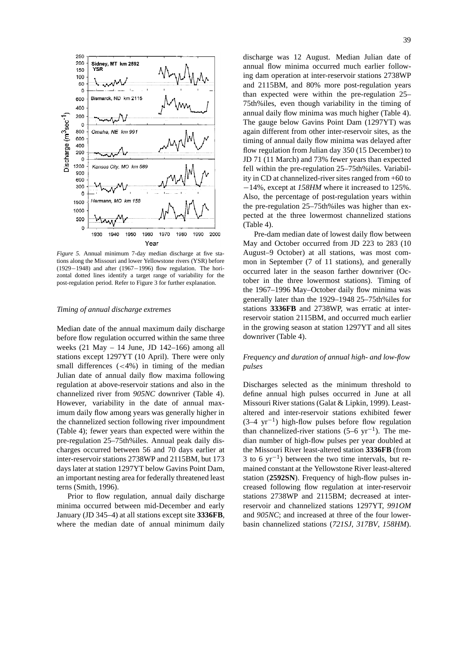

*Figure 5.* Annual minimum 7-day median discharge at five stations along the Missouri and lower Yellowstone rivers (YSR) before (1929−1948) and after (1967−1996) flow regulation. The horizontal dotted lines identify a target range of variability for the post-regulation period. Refer to Figure 3 for further explanation.

#### *Timing of annual discharge extremes*

Median date of the annual maximum daily discharge before flow regulation occurred within the same three weeks  $(21 \text{ May} - 14 \text{ June}, \text{ JD } 142-166)$  among all stations except 1297YT (10 April). There were only small differences (*<*4%) in timing of the median Julian date of annual daily flow maxima following regulation at above-reservoir stations and also in the channelized river from *905NC* downriver (Table 4). However, variability in the date of annual maximum daily flow among years was generally higher in the channelized section following river impoundment (Table 4); fewer years than expected were within the pre-regulation 25–75th%iles. Annual peak daily discharges occurred between 56 and 70 days earlier at inter-reservoir stations 2738WP and 2115BM, but 173 days later at station 1297YT below Gavins Point Dam, an important nesting area for federally threatened least terns (Smith, 1996).

Prior to flow regulation, annual daily discharge minima occurred between mid-December and early January (JD 345–4) at all stations except site **3336FB**, where the median date of annual minimum daily discharge was 12 August. Median Julian date of annual flow minima occurred much earlier following dam operation at inter-reservoir stations 2738WP and 2115BM, and 80% more post-regulation years than expected were within the pre-regulation 25– 75th%iles, even though variability in the timing of annual daily flow minima was much higher (Table 4). The gauge below Gavins Point Dam (1297YT) was again different from other inter-reservoir sites, as the timing of annual daily flow minima was delayed after flow regulation from Julian day 350 (15 December) to JD 71 (11 March) and 73% fewer years than expected fell within the pre-regulation 25–75th%iles. Variability in CD at channelized-river sites ranged from +60 to −14%, except at *158HM* where it increased to 125%. Also, the percentage of post-regulation years within

(Table 4). Pre-dam median date of lowest daily flow between May and October occurred from JD 223 to 283 (10 August–9 October) at all stations, was most common in September (7 of 11 stations), and generally occurred later in the season farther downriver (October in the three lowermost stations). Timing of the 1967–1996 May–October daily flow minima was generally later than the 1929–1948 25–75th%iles for stations **3336FB** and 2738WP, was erratic at interreservoir station 2115BM, and occurred much earlier in the growing season at station 1297YT and all sites downriver (Table 4).

the pre-regulation 25–75th%iles was higher than expected at the three lowermost channelized stations

#### *Frequency and duration of annual high- and low-flow pulses*

Discharges selected as the minimum threshold to define annual high pulses occurred in June at all Missouri River stations (Galat & Lipkin, 1999). Leastaltered and inter-reservoir stations exhibited fewer  $(3-4 \text{ yr}^{-1})$  high-flow pulses before flow regulation than channelized-river stations  $(5–6 \text{ yr}^{-1})$ . The median number of high-flow pulses per year doubled at the Missouri River least-altered station **3336FB** (from 3 to 6 yr<sup> $-1$ </sup>) between the two time intervals, but remained constant at the Yellowstone River least-altered station (**2592SN**). Frequency of high-flow pulses increased following flow regulation at inter-reservoir stations 2738WP and 2115BM; decreased at interreservoir and channelized stations 1297YT, *991OM* and *905NC*; and increased at three of the four lowerbasin channelized stations (*721SJ*, *317BV*, *158HM*).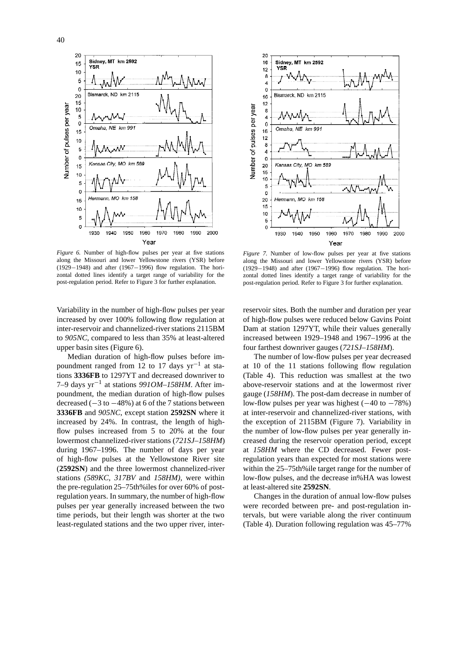

*Figure 6.* Number of high-flow pulses per year at five stations along the Missouri and lower Yellowstone rivers (YSR) before (1929−1948) and after (1967−1996) flow regulation. The horizontal dotted lines identify a target range of variability for the post-regulation period. Refer to Figure 3 for further explanation.

Variability in the number of high-flow pulses per year increased by over 100% following flow regulation at inter-reservoir and channelized-river stations 2115BM to *905NC,* compared to less than 35% at least-altered upper basin sites (Figure 6).

Median duration of high-flow pulses before impoundment ranged from 12 to 17 days  $yr^{-1}$  at stations **3336FB** to 1297YT and decreased downriver to 7–9 days yr−<sup>1</sup> at stations *991OM–158HM*. After impoundment, the median duration of high-flow pulses decreased  $(-3 \text{ to } -48\%)$  at 6 of the 7 stations between **3336FB** and *905NC*, except station **2592SN** where it increased by 24%. In contrast, the length of highflow pulses increased from 5 to 20% at the four lowermost channelized-river stations (*721SJ*–*158HM*) during 1967–1996. The number of days per year of high-flow pulses at the Yellowstone River site (**2592SN**) and the three lowermost channelized-river stations *(589KC*, *317BV* and *158HM),* were within the pre-regulation 25–75th%iles for over 60% of postregulation years. In summary, the number of high-flow pulses per year generally increased between the two time periods, but their length was shorter at the two least-regulated stations and the two upper river, inter-



*Figure 7.* Number of low-flow pulses per year at five stations along the Missouri and lower Yellowstone rivers (YSR) before (1929−1948) and after (1967−1996) flow regulation. The horizontal dotted lines identify a target range of variability for the post-regulation period. Refer to Figure 3 for further explanation.

reservoir sites. Both the number and duration per year of high-flow pulses were reduced below Gavins Point Dam at station 1297YT, while their values generally increased between 1929–1948 and 1967–1996 at the four farthest downriver gauges (*721SJ–158HM*).

The number of low-flow pulses per year decreased at 10 of the 11 stations following flow regulation (Table 4). This reduction was smallest at the two above-reservoir stations and at the lowermost river gauge (*158HM*). The post-dam decrease in number of low-flow pulses per year was highest (−40 to −78%) at inter-reservoir and channelized-river stations, with the exception of 2115BM (Figure 7). Variability in the number of low-flow pulses per year generally increased during the reservoir operation period, except at *158HM* where the CD decreased. Fewer postregulation years than expected for most stations were within the 25–75th%ile target range for the number of low-flow pulses, and the decrease in%HA was lowest at least-altered site **2592SN**.

Changes in the duration of annual low-flow pulses were recorded between pre- and post-regulation intervals, but were variable along the river continuum (Table 4). Duration following regulation was 45–77%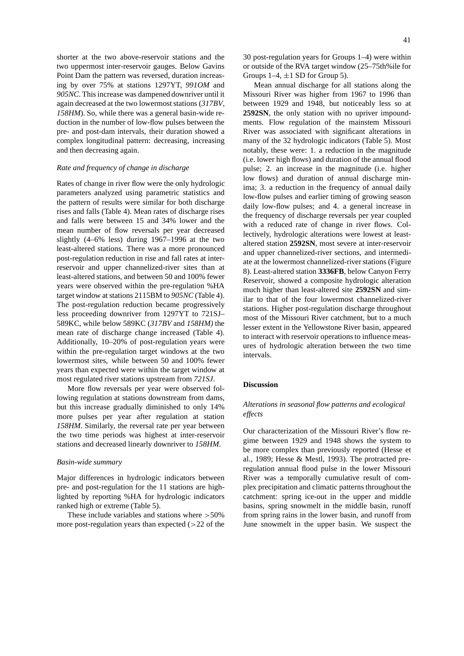shorter at the two above-reservoir stations and the two uppermost inter-reservoir gauges. Below Gavins Point Dam the pattern was reversed, duration increasing by over 75% at stations 1297YT, *991OM* and *905NC*. This increase was dampened downriver until it again decreased at the two lowermost stations (*317BV*, *158HM*). So, while there was a general basin-wide reduction in the number of low-flow pulses between the pre- and post-dam intervals, their duration showed a complex longitudinal pattern: decreasing, increasing and then decreasing again.

#### *Rate and frequency of change in discharge*

Rates of change in river flow were the only hydrologic parameters analyzed using parametric statistics and the pattern of results were similar for both discharge rises and falls (Table 4). Mean rates of discharge rises and falls were between 15 and 34% lower and the mean number of flow reversals per year decreased slightly (4–6% less) during 1967–1996 at the two least-altered stations. There was a more pronounced post-regulation reduction in rise and fall rates at interreservoir and upper channelized-river sites than at least-altered stations, and between 50 and 100% fewer years were observed within the pre-regulation %HA target window at stations 2115BM to *905NC* (Table 4). The post-regulation reduction became progressively less proceeding downriver from 1297YT to 721SJ– 589KC, while below 589KC (*317BV* and *158HM)* the mean rate of discharge change increased (Table 4). Additionally, 10–20% of post-regulation years were within the pre-regulation target windows at the two lowermost sites, while between 50 and 100% fewer years than expected were within the target window at most regulated river stations upstream from *721SJ*.

More flow reversals per year were observed following regulation at stations downstream from dams, but this increase gradually diminished to only 14% more pulses per year after regulation at station *158HM*. Similarly, the reversal rate per year between the two time periods was highest at inter-reservoir stations and decreased linearly downriver to *158HM*.

#### *Basin-wide summary*

Major differences in hydrologic indicators between pre- and post-regulation for the 11 stations are highlighted by reporting %HA for hydrologic indicators ranked high or extreme (Table 5).

These include variables and stations where *>*50% more post-regulation years than expected (*>*22 of the 30 post-regulation years for Groups 1–4) were within or outside of the RVA target window (25–75th%ile for Groups  $1-4$ ,  $\pm 1$  SD for Group 5).

Mean annual discharge for all stations along the Missouri River was higher from 1967 to 1996 than between 1929 and 1948, but noticeably less so at **2592SN**, the only station with no upriver impoundments. Flow regulation of the mainstem Missouri River was associated with significant alterations in many of the 32 hydrologic indicators (Table 5). Most notably, these were: 1. a reduction in the magnitude (i.e. lower high flows) and duration of the annual flood pulse; 2. an increase in the magnitude (i.e. higher low flows) and duration of annual discharge minima; 3. a reduction in the frequency of annual daily low-flow pulses and earlier timing of growing season daily low-flow pulses; and 4. a general increase in the frequency of discharge reversals per year coupled with a reduced rate of change in river flows. Collectively, hydrologic alterations were lowest at leastaltered station **2592SN**, most severe at inter-reservoir and upper channelized-river sections, and intermediate at the lowermost channelized-river stations (Figure 8). Least-altered station **3336FB**, below Canyon Ferry Reservoir, showed a composite hydrologic alteration much higher than least-altered site **2592SN** and similar to that of the four lowermost channelized-river stations. Higher post-regulation discharge throughout most of the Missouri River catchment, but to a much lesser extent in the Yellowstone River basin, appeared to interact with reservoir operations to influence measures of hydrologic alteration between the two time intervals.

#### **Discussion**

#### *Alterations in seasonal flow patterns and ecological effects*

Our characterization of the Missouri River's flow regime between 1929 and 1948 shows the system to be more complex than previously reported (Hesse et al., 1989; Hesse & Mestl, 1993). The protracted preregulation annual flood pulse in the lower Missouri River was a temporally cumulative result of complex precipitation and climatic patterns throughout the catchment: spring ice-out in the upper and middle basins, spring snowmelt in the middle basin, runoff from spring rains in the lower basin, and runoff from June snowmelt in the upper basin. We suspect the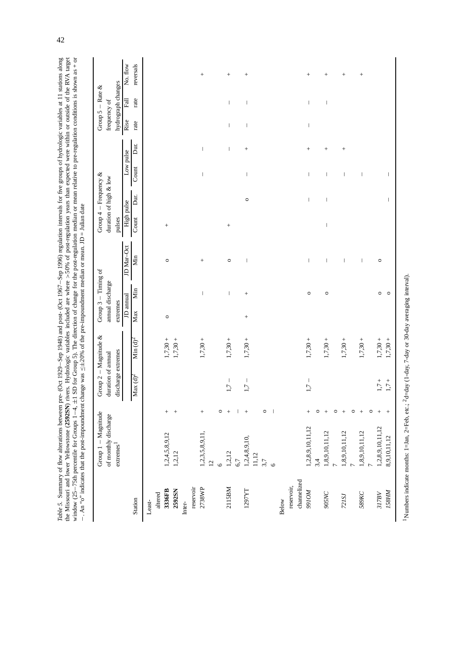| 3336FB<br>altered<br>Station<br>Least- |                                           | Group 1 - Magnitude |                                          | Group $2 -$ Magnitude & | Group $3 -$ Timing of        |         |                 |                          | Group $4$ – Frequency &  |                          |                 |              | Group $5$ – Rate &       |                 |
|----------------------------------------|-------------------------------------------|---------------------|------------------------------------------|-------------------------|------------------------------|---------|-----------------|--------------------------|--------------------------|--------------------------|-----------------|--------------|--------------------------|-----------------|
|                                        | of monthly discharge<br>$\rm{extremes}^1$ |                     | discharge extremes<br>duration of annual |                         | annual discharge<br>extremes |         |                 | pulses                   | duration of high & low   |                          |                 | frequency of | hydrograph changes       |                 |
|                                        |                                           |                     |                                          |                         | JD annual                    |         | JD Mar-Oct      | High pulse               |                          | Low pulse                |                 | Rise         | Fall                     | No. flow        |
|                                        |                                           |                     | Max (d) <sup>2</sup>                     | Min $(d)2$              | Max                          | Min     | Min             | Count                    | Dur.                     | Count                    | Dur.            | rate         | rate                     | reversals       |
|                                        |                                           |                     |                                          |                         |                              |         |                 |                          |                          |                          |                 |              |                          |                 |
|                                        |                                           |                     |                                          |                         |                              |         |                 |                          |                          |                          |                 |              |                          |                 |
|                                        | 1,2,4,5,8,9,12                            | $^{+}$              |                                          | $1,7,30+$               | $\circ$                      |         | $\circ$         | $\! + \!\!\!\!$          |                          |                          |                 |              |                          |                 |
| 2592SN                                 | 1, 2, 12                                  | $\! +$              |                                          | $1,7,30+$               |                              |         |                 |                          |                          |                          |                 |              |                          |                 |
| Inter-                                 |                                           |                     |                                          |                         |                              |         |                 |                          |                          |                          |                 |              |                          |                 |
| reservoir                              |                                           |                     |                                          |                         |                              |         |                 |                          |                          |                          |                 |              |                          |                 |
| 2738WP                                 | 1, 2, 3, 5, 8, 9, 11,                     | $^{+}$              |                                          | $1,7,30+$               |                              |         | $\! + \!\!\!\!$ |                          |                          | ı                        | I               |              |                          | $\! + \!\!\!\!$ |
|                                        | $\overline{2}$                            |                     |                                          |                         |                              |         |                 |                          |                          |                          |                 |              |                          |                 |
|                                        | $\circ$                                   | $\circ$             |                                          |                         |                              |         |                 |                          |                          |                          |                 |              |                          |                 |
| 2115BM                                 | 1,2,12                                    | $^{+}$              | J,<br>$\overline{1}$ .                   | $1,7,30+$               |                              | ı       | $\circ$         | $^{+}$                   |                          |                          | ı               | I            | I                        | $\! + \!\!\!\!$ |
|                                        | 6,7                                       | -1                  |                                          |                         |                              |         |                 |                          |                          |                          |                 |              |                          |                 |
| 1297YT                                 | 1, 2, 4, 8, 9, 10,                        | $^{+}$              | $\mathbf{I}$<br>1,7                      | $1,7,30+$               | $^{+}$                       | $^{+}$  |                 |                          | $\circ$                  |                          | $\! + \!\!\!\!$ |              | $\overline{\phantom{a}}$ | $\! + \!\!\!\!$ |
|                                        | 11,12                                     |                     |                                          |                         |                              |         |                 |                          |                          |                          |                 |              |                          |                 |
|                                        | 3,7                                       | $\circ$             |                                          |                         |                              |         |                 |                          |                          |                          |                 |              |                          |                 |
|                                        | $\infty$                                  |                     |                                          |                         |                              |         |                 |                          |                          |                          |                 |              |                          |                 |
| <b>Below</b>                           |                                           |                     |                                          |                         |                              |         |                 |                          |                          |                          |                 |              |                          |                 |
| reservoir,                             |                                           |                     |                                          |                         |                              |         |                 |                          |                          |                          |                 |              |                          |                 |
| channelized                            |                                           |                     |                                          |                         |                              |         |                 |                          |                          |                          |                 |              |                          |                 |
| <b>NO166</b>                           | 1, 2, 8, 9, 10, 11, 12                    | $^{+}$              | $\overline{\phantom{a}}$<br>1.7          | $1,7,30+$               |                              | $\circ$ |                 |                          |                          |                          | $^{+}$          |              | T                        | $\! + \!\!\!\!$ |
|                                        | 3,4                                       | $\circ$             |                                          |                         |                              |         |                 |                          |                          |                          |                 |              |                          |                 |
| 905NC                                  | 1,8,9,10,11,12<br>$\overline{r}$          | $^{+}$<br>$\circ$   |                                          | $1,7,30+$               |                              | $\circ$ | 1               | $\overline{\phantom{a}}$ | $\overline{\phantom{a}}$ | 1                        | $^{+}$          |              | I                        | $\! + \!\!\!\!$ |
| 721SJ                                  | 1,8,9,10,11,12                            | $^{+}$              |                                          | $1,7,30+$               |                              |         | $\overline{1}$  |                          |                          | $\overline{\phantom{a}}$ | $^{+}$          |              |                          | $\! + \!\!\!\!$ |
|                                        | Þ                                         | $\circ$             |                                          |                         |                              |         |                 |                          |                          |                          |                 |              |                          |                 |
| 589KC                                  | 1,8,9,10,11,12                            | $^{+}$              |                                          | $1,7,30+$               |                              |         | I               |                          |                          | I                        |                 |              |                          | $^{+}$          |
|                                        | $\overline{r}$                            | $\circ$             |                                          |                         |                              |         |                 |                          |                          |                          |                 |              |                          |                 |
| 317BV                                  | 1,2,8,9,10,11,12                          | $\! + \!\!\!\!$     | $1,7 +$                                  | $1,7,30+$               |                              | $\circ$ | $\circ$         |                          |                          |                          |                 |              |                          |                 |
| <b>NH8S1</b>                           | 8,9,10,11,12                              | $^{+}$              | $1,7 +$                                  | $1,7,30+$               |                              | $\circ$ |                 |                          | T                        | J                        |                 |              |                          |                 |

Numbers indicate months:  $1=$ Jan,  $2=$ Feb, etc.;  $2d=$ day  $(1-day, 7-day)$  or  $30-day$  averaging interval).

<sup>1</sup>Numbers indicate months: 1=Jan, 2=Feb, etc.; <sup>2</sup>d=day (1-day, 7-day or 30-day averaging interval).

Table 5. Summary of flow alterations between pre- (Oct 1929–Sep 1948) and post- (Oct 1967–Sep 1996) regulation intervals for five groups of hydrologic variables at 11 stations along<br>the Missouri and lower Yellowstone (2592 the Missouri and lower Yellowstone (**2592SN**) rivers. Hydrologic variables included are where *>*50% of post-regulation years than expected were within or outside of the RVA target *Table 5.* Summary of flow alterations between pre- (Oct 1929−Sep 1948) and post- (Oct 1967−Sep 1996) regulation intervals for five groups of hydrologic variables at 11 stations along

42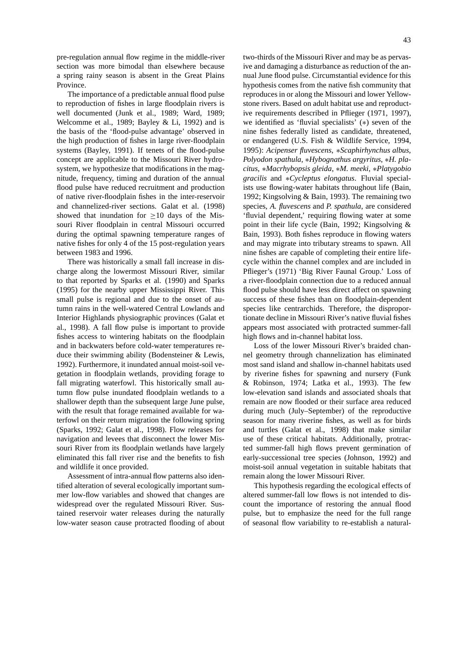pre-regulation annual flow regime in the middle-river section was more bimodal than elsewhere because a spring rainy season is absent in the Great Plains Province.

The importance of a predictable annual flood pulse to reproduction of fishes in large floodplain rivers is well documented (Junk et al., 1989; Ward, 1989; Welcomme et al., 1989; Bayley & Li, 1992) and is the basis of the 'flood-pulse advantage' observed in the high production of fishes in large river-floodplain systems (Bayley, 1991). If tenets of the flood-pulse concept are applicable to the Missouri River hydrosystem, we hypothesize that modifications in the magnitude, frequency, timing and duration of the annual flood pulse have reduced recruitment and production of native river-floodplain fishes in the inter-reservoir and channelized-river sections. Galat et al. (1998) showed that inundation for  $>10$  days of the Missouri River floodplain in central Missouri occurred during the optimal spawning temperature ranges of native fishes for only 4 of the 15 post-regulation years between 1983 and 1996.

There was historically a small fall increase in discharge along the lowermost Missouri River, similar to that reported by Sparks et al. (1990) and Sparks (1995) for the nearby upper Mississippi River. This small pulse is regional and due to the onset of autumn rains in the well-watered Central Lowlands and Interior Highlands physiographic provinces (Galat et al., 1998). A fall flow pulse is important to provide fishes access to wintering habitats on the floodplain and in backwaters before cold-water temperatures reduce their swimming ability (Bodensteiner & Lewis, 1992). Furthermore, it inundated annual moist-soil vegetation in floodplain wetlands, providing forage to fall migrating waterfowl. This historically small autumn flow pulse inundated floodplain wetlands to a shallower depth than the subsequent large June pulse, with the result that forage remained available for waterfowl on their return migration the following spring (Sparks, 1992; Galat et al., 1998). Flow releases for navigation and levees that disconnect the lower Missouri River from its floodplain wetlands have largely eliminated this fall river rise and the benefits to fish and wildlife it once provided.

Assessment of intra-annual flow patterns also identified alteration of several ecologically important summer low-flow variables and showed that changes are widespread over the regulated Missouri River. Sustained reservoir water releases during the naturally low-water season cause protracted flooding of about two-thirds of the Missouri River and may be as pervasive and damaging a disturbance as reduction of the annual June flood pulse. Circumstantial evidence for this hypothesis comes from the native fish community that reproduces in or along the Missouri and lower Yellowstone rivers. Based on adult habitat use and reproductive requirements described in Pflieger (1971, 1997), we identified as 'fluvial specialists' (∗) seven of the nine fishes federally listed as candidate, threatened, or endangered (U.S. Fish & Wildlife Service, 1994, 1995): *Acipenser fluvescens*, ∗*Scaphirhynchus albus*, *Polyodon spathula*, ∗*Hybognathus argyritus*, ∗*H. placitus*, ∗*Macrhybopsis gleida*, ∗*M. meeki*, ∗*Platygobio gracilis* and ∗*Cycleptus elongatus*. Fluvial specialists use flowing-water habitats throughout life (Bain, 1992; Kingsolving & Bain, 1993). The remaining two species, *A. fluvescens* and *P. spathula*, are considered 'fluvial dependent,' requiring flowing water at some point in their life cycle (Bain, 1992; Kingsolving & Bain, 1993). Both fishes reproduce in flowing waters and may migrate into tributary streams to spawn. All nine fishes are capable of completing their entire lifecycle within the channel complex and are included in Pflieger's (1971) 'Big River Faunal Group.' Loss of a river-floodplain connection due to a reduced annual flood pulse should have less direct affect on spawning success of these fishes than on floodplain-dependent species like centrarchids. Therefore, the disproportionate decline in Missouri River's native fluvial fishes appears most associated with protracted summer-fall high flows and in-channel habitat loss.

Loss of the lower Missouri River's braided channel geometry through channelization has eliminated most sand island and shallow in-channel habitats used by riverine fishes for spawning and nursery (Funk & Robinson, 1974; Latka et al., 1993). The few low-elevation sand islands and associated shoals that remain are now flooded or their surface area reduced during much (July–September) of the reproductive season for many riverine fishes, as well as for birds and turtles (Galat et al., 1998) that make similar use of these critical habitats. Additionally, protracted summer-fall high flows prevent germination of early-successional tree species (Johnson, 1992) and moist-soil annual vegetation in suitable habitats that remain along the lower Missouri River.

This hypothesis regarding the ecological effects of altered summer-fall low flows is not intended to discount the importance of restoring the annual flood pulse, but to emphasize the need for the full range of seasonal flow variability to re-establish a natural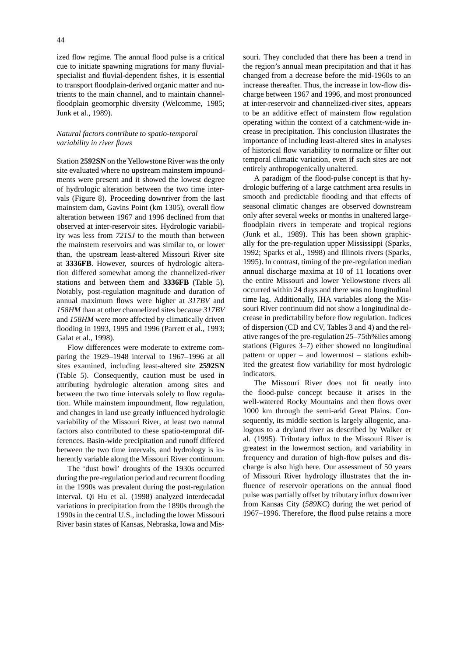ized flow regime. The annual flood pulse is a critical cue to initiate spawning migrations for many fluvialspecialist and fluvial-dependent fishes, it is essential to transport floodplain-derived organic matter and nutrients to the main channel, and to maintain channelfloodplain geomorphic diversity (Welcomme, 1985; Junk et al., 1989).

#### *Natural factors contribute to spatio-temporal variability in river flows*

Station **2592SN** on the Yellowstone River was the only site evaluated where no upstream mainstem impoundments were present and it showed the lowest degree of hydrologic alteration between the two time intervals (Figure 8). Proceeding downriver from the last mainstem dam, Gavins Point (km 1305), overall flow alteration between 1967 and 1996 declined from that observed at inter-reservoir sites. Hydrologic variability was less from *721SJ* to the mouth than between the mainstem reservoirs and was similar to, or lower than, the upstream least-altered Missouri River site at **3336FB**. However, sources of hydrologic alteration differed somewhat among the channelized-river stations and between them and **3336FB** (Table 5). Notably, post-regulation magnitude and duration of annual maximum flows were higher at *317BV* and *158HM* than at other channelized sites because *317BV* and *158HM* were more affected by climatically driven flooding in 1993, 1995 and 1996 (Parrett et al., 1993; Galat et al., 1998).

Flow differences were moderate to extreme comparing the 1929–1948 interval to 1967–1996 at all sites examined, including least-altered site **2592SN** (Table 5). Consequently, caution must be used in attributing hydrologic alteration among sites and between the two time intervals solely to flow regulation. While mainstem impoundment, flow regulation, and changes in land use greatly influenced hydrologic variability of the Missouri River, at least two natural factors also contributed to these spatio-temporal differences. Basin-wide precipitation and runoff differed between the two time intervals, and hydrology is inherently variable along the Missouri River continuum.

The 'dust bowl' droughts of the 1930s occurred during the pre-regulation period and recurrent flooding in the 1990s was prevalent during the post-regulation interval. Qi Hu et al. (1998) analyzed interdecadal variations in precipitation from the 1890s through the 1990s in the central U.S., including the lower Missouri River basin states of Kansas, Nebraska, Iowa and Missouri. They concluded that there has been a trend in the region's annual mean precipitation and that it has changed from a decrease before the mid-1960s to an increase thereafter. Thus, the increase in low-flow discharge between 1967 and 1996, and most pronounced at inter-reservoir and channelized-river sites, appears to be an additive effect of mainstem flow regulation operating within the context of a catchment-wide increase in precipitation. This conclusion illustrates the importance of including least-altered sites in analyses of historical flow variability to normalize or filter out temporal climatic variation, even if such sites are not entirely anthropogenically unaltered.

A paradigm of the flood-pulse concept is that hydrologic buffering of a large catchment area results in smooth and predictable flooding and that effects of seasonal climatic changes are observed downstream only after several weeks or months in unaltered largefloodplain rivers in temperate and tropical regions (Junk et al., 1989). This has been shown graphically for the pre-regulation upper Mississippi (Sparks, 1992; Sparks et al., 1998) and Illinois rivers (Sparks, 1995). In contrast, timing of the pre-regulation median annual discharge maxima at 10 of 11 locations over the entire Missouri and lower Yellowstone rivers all occurred within 24 days and there was no longitudinal time lag. Additionally, IHA variables along the Missouri River continuum did not show a longitudinal decrease in predictability before flow regulation. Indices of dispersion (CD and CV, Tables 3 and 4) and the relative ranges of the pre-regulation 25–75th%iles among stations (Figures 3–7) either showed no longitudinal pattern or upper – and lowermost – stations exhibited the greatest flow variability for most hydrologic indicators.

The Missouri River does not fit neatly into the flood-pulse concept because it arises in the well-watered Rocky Mountains and then flows over 1000 km through the semi-arid Great Plains. Consequently, its middle section is largely allogenic, analogous to a dryland river as described by Walker et al. (1995). Tributary influx to the Missouri River is greatest in the lowermost section, and variability in frequency and duration of high-flow pulses and discharge is also high here. Our assessment of 50 years of Missouri River hydrology illustrates that the influence of reservoir operations on the annual flood pulse was partially offset by tributary influx downriver from Kansas City (*589KC*) during the wet period of 1967–1996. Therefore, the flood pulse retains a more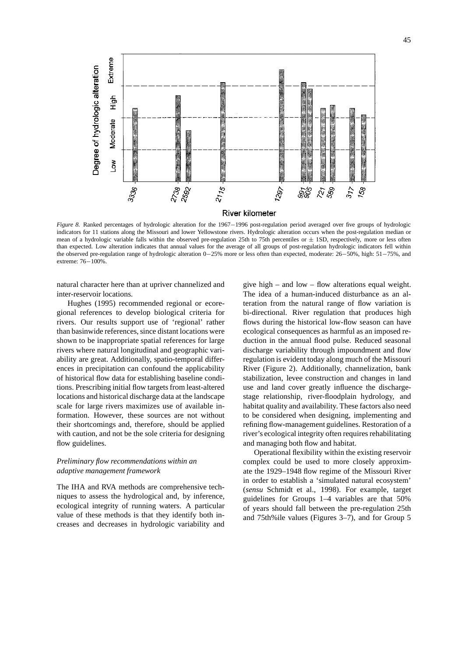

*Figure 8.* Ranked percentages of hydrologic alteration for the 1967−1996 post-regulation period averaged over five groups of hydrologic indicators for 11 stations along the Missouri and lower Yellowstone rivers. Hydrologic alteration occurs when the post-regulation median or mean of a hydrologic variable falls within the observed pre-regulation 25th to 75th percentiles or  $\pm$  1SD, respectively, more or less often than expected. Low alteration indicates that annual values for the average of all groups of post-regulation hydrologic indicators fell within the observed pre-regulation range of hydrologic alteration 0−25% more or less often than expected, moderate: 26−50%, high: 51−75%, and extreme: 76−100%.

natural character here than at upriver channelized and inter-reservoir locations.

Hughes (1995) recommended regional or ecoregional references to develop biological criteria for rivers. Our results support use of 'regional' rather than basinwide references, since distant locations were shown to be inappropriate spatial references for large rivers where natural longitudinal and geographic variability are great. Additionally, spatio-temporal differences in precipitation can confound the applicability of historical flow data for establishing baseline conditions. Prescribing initial flow targets from least-altered locations and historical discharge data at the landscape scale for large rivers maximizes use of available information. However, these sources are not without their shortcomings and, therefore, should be applied with caution, and not be the sole criteria for designing flow guidelines.

#### *Preliminary flow recommendations within an adaptive management framework*

The IHA and RVA methods are comprehensive techniques to assess the hydrological and, by inference, ecological integrity of running waters. A particular value of these methods is that they identify both increases and decreases in hydrologic variability and

give high – and low – flow alterations equal weight. The idea of a human-induced disturbance as an alteration from the natural range of flow variation is bi-directional. River regulation that produces high flows during the historical low-flow season can have ecological consequences as harmful as an imposed reduction in the annual flood pulse. Reduced seasonal discharge variability through impoundment and flow regulation is evident today along much of the Missouri River (Figure 2). Additionally, channelization, bank stabilization, levee construction and changes in land use and land cover greatly influence the dischargestage relationship, river-floodplain hydrology, and habitat quality and availability. These factors also need to be considered when designing, implementing and refining flow-management guidelines. Restoration of a river's ecological integrity often requires rehabilitating and managing both flow and habitat.

Operational flexibility within the existing reservoir complex could be used to more closely approximate the 1929–1948 flow regime of the Missouri River in order to establish a 'simulated natural ecosystem' (*sensu* Schmidt et al., 1998). For example, target guidelines for Groups 1–4 variables are that 50% of years should fall between the pre-regulation 25th and 75th%ile values (Figures 3–7), and for Group 5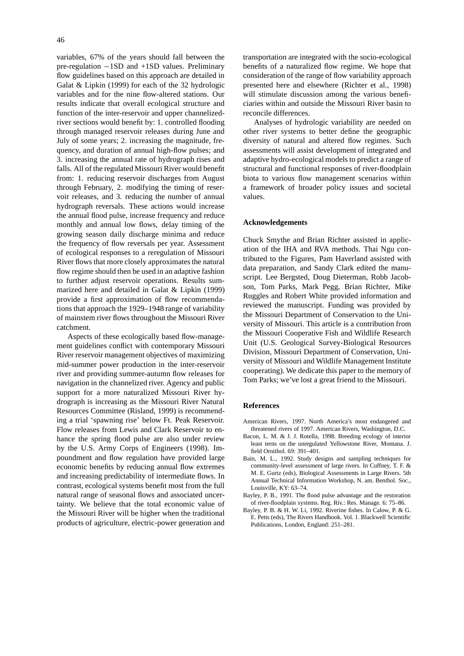variables, 67% of the years should fall between the pre-regulation −1SD and +1SD values. Preliminary flow guidelines based on this approach are detailed in Galat & Lipkin (1999) for each of the 32 hydrologic variables and for the nine flow-altered stations. Our results indicate that overall ecological structure and function of the inter-reservoir and upper channelizedriver sections would benefit by: 1. controlled flooding through managed reservoir releases during June and July of some years; 2. increasing the magnitude, frequency, and duration of annual high-flow pulses; and 3. increasing the annual rate of hydrograph rises and falls. All of the regulated Missouri River would benefit from: 1. reducing reservoir discharges from August through February, 2. modifying the timing of reservoir releases, and 3. reducing the number of annual hydrograph reversals. These actions would increase the annual flood pulse, increase frequency and reduce monthly and annual low flows, delay timing of the growing season daily discharge minima and reduce the frequency of flow reversals per year. Assessment of ecological responses to a reregulation of Missouri River flows that more closely approximates the natural flow regime should then be used in an adaptive fashion to further adjust reservoir operations. Results summarized here and detailed in Galat & Lipkin (1999) provide a first approximation of flow recommendations that approach the 1929–1948 range of variability of mainstem river flows throughout the Missouri River catchment.

Aspects of these ecologically based flow-management guidelines conflict with contemporary Missouri River reservoir management objectives of maximizing mid-summer power production in the inter-reservoir river and providing summer-autumn flow releases for navigation in the channelized river. Agency and public support for a more naturalized Missouri River hydrograph is increasing as the Missouri River Natural Resources Committee (Risland, 1999) is recommending a trial 'spawning rise' below Ft. Peak Reservoir. Flow releases from Lewis and Clark Reservoir to enhance the spring flood pulse are also under review by the U.S. Army Corps of Engineers (1998). Impoundment and flow regulation have provided large economic benefits by reducing annual flow extremes and increasing predictability of intermediate flows. In contrast, ecological systems benefit most from the full natural range of seasonal flows and associated uncertainty. We believe that the total economic value of the Missouri River will be higher when the traditional products of agriculture, electric-power generation and transportation are integrated with the socio-ecological benefits of a naturalized flow regime. We hope that consideration of the range of flow variability approach presented here and elsewhere (Richter et al., 1998) will stimulate discussion among the various beneficiaries within and outside the Missouri River basin to reconcile differences.

Analyses of hydrologic variability are needed on other river systems to better define the geographic diversity of natural and altered flow regimes. Such assessments will assist development of integrated and adaptive hydro-ecological models to predict a range of structural and functional responses of river-floodplain biota to various flow management scenarios within a framework of broader policy issues and societal values.

#### **Acknowledgements**

Chuck Smythe and Brian Richter assisted in application of the IHA and RVA methods. Thai Ngu contributed to the Figures, Pam Haverland assisted with data preparation, and Sandy Clark edited the manuscript. Lee Bergsted, Doug Dieterman, Robb Jacobson, Tom Parks, Mark Pegg, Brian Richter, Mike Ruggles and Robert White provided information and reviewed the manuscript. Funding was provided by the Missouri Department of Conservation to the University of Missouri. This article is a contribution from the Missouri Cooperative Fish and Wildlife Research Unit (U.S. Geological Survey-Biological Resources Division, Missouri Department of Conservation, University of Missouri and Wildlife Management Institute cooperating). We dedicate this paper to the memory of Tom Parks; we've lost a great friend to the Missouri.

#### **References**

- American Rivers, 1997. North America's most endangered and threatened rivers of 1997. American Rivers, Washington, D.C.
- Bacon, L. M. & J. J. Rotella, 1998. Breeding ecology of interior least terns on the unregulated Yellowstone River, Montana. J. field Ornithol. 69: 391–401.
- Bain, M. L., 1992. Study designs and sampling techniques for community-level assessment of large rivers. In Cuffney, T. F. & M. E. Gurtz (eds), Biological Assessments in Large Rivers. 5th Annual Technical Information Workshop, N. am. Benthol. Soc., Louisville, KY: 63–74.
- Bayley, P. B., 1991. The flood pulse advantage and the restoration of river-floodplain systems. Reg. Riv.: Res. Manage. 6: 75–86.
- Bayley, P. B. & H. W. Li, 1992. Riverine fishes. In Calow, P. & G. E. Petts (eds), The Rivers Handbook. Vol. 1. Blackwell Scientific Publications, London, England: 251–281.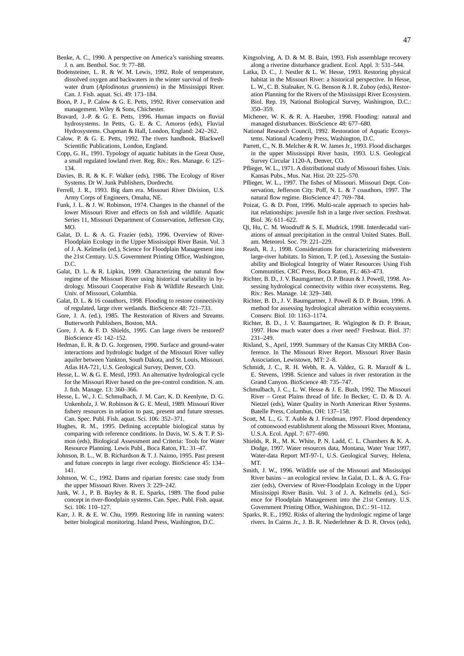- Benke, A. C., 1990. A perspective on America's vanishing streams. J. n. am. Benthol. Soc. 9: 77–88.
- Bodensteiner, L. R. & W. M. Lewis, 1992. Role of temperature, dissolved oxygen and backwaters in the winter survival of freshwater drum (*Aplodinotus grunniens*) in the Mississippi River. Can. J. Fish. aquat. Sci. 49: 173–184.
- Boon, P. J., P. Calow & G. E. Petts, 1992. River conservation and management. Wiley & Sons, Chichester.
- Bravard, J.-P. & G. E. Petts, 1996. Human impacts on fluvial hydrosystems. In Petts, G. E. & C. Amoros (eds), Fluvial Hydrosystems. Chapman & Hall, London, England: 242–262.
- Calow, P. & G. E. Petts, 1992. The rivers handbook. Blackwell Scientific Publications, London, England.
- Copp, G. H., 1991. Typology of aquatic habitats in the Great Ouse, a small regulated lowland river. Reg. Riv.: Res. Manage. 6: 125– 134.
- Davies, B. R. & K. F. Walker (eds), 1986. The Ecology of River Systems. Dr W. Junk Publishers, Dordrecht.
- Ferrell, J. R., 1993. Big dam era. Missouri River Division, U.S. Army Corps of Engineers, Omaha, NE.
- Funk, J. L. & J. W. Robinson, 1974. Changes in the channel of the lower Missouri River and effects on fish and wildlife. Aquatic Series 11, Missouri Department of Conservation, Jefferson City, MO.
- Galat, D. L. & A. G. Frazier (eds), 1996. Overview of River-Floodplain Ecology in the Upper Mississippi River Basin. Vol. 3 of J. A. Kelmelis (ed.), Science for Floodplain Management into the 21st Century. U.S. Government Printing Office, Washington, D.C.
- Galat, D. L. & R. Lipkin, 1999. Characterizing the natural flow regime of the Missouri River using historical variability in hydrology. Missouri Cooperative Fish & Wildlife Research Unit. Univ. of Missouri, Columbia.
- Galat, D. L. & 16 coauthors, 1998. Flooding to restore connectivity of regulated, large river wetlands. BioScience 48: 721–733.
- Gore, J. A. (ed.), 1985. The Restoration of Rivers and Streams. Butterworth Publishers, Boston, MA.
- Gore, J. A. & F. D. Shields, 1995. Can large rivers be restored? BioScience 45: 142–152.
- Hedman, E. R. & D. G. Jorgensen, 1990. Surface and ground-water interactions and hydrologic budget of the Missouri River valley aquifer between Yankton, South Dakota, and St. Louis, Missouri. Atlas HA-721, U.S. Geological Survey, Denver, CO.
- Hesse, L. W. & G. E. Mestl, 1993. An alternative hydrological cycle for the Missouri River based on the pre-control condition. N. am. J. fish. Manage. 13: 360–366.
- Hesse, L. W., J. C. Schmulbach, J. M. Carr, K. D. Keenlyne, D. G. Unkenholz, J. W. Robinson & G. E. Mestl, 1989. Missouri River fishery resources in relation to past, present and future stresses. Can. Spec. Publ. Fish. aquat. Sci. 106: 352–371.
- Hughes, R. M., 1995. Defining acceptable biological status by comparing with reference conditions. In Davis, W. S. & T. P. Simon (eds), Biological Assessment and Criteria: Tools for Water Resource Planning. Lewis Publ., Boca Raton, FL: 31–47.
- Johnson, B. L., W. B. Richardson & T. J. Naimo, 1995. Past present and future concepts in large river ecology. BioScience 45: 134– 141.
- Johnson, W. C., 1992. Dams and riparian forests: case study from the upper Missouri River. Rivers 3: 229–242.
- Junk, W. J., P. B. Bayley & R. E. Sparks, 1989. The flood pulse concept in river-floodplain systems. Can. Spec. Publ. Fish. aquat. Sci. 106: 110–127.
- Karr, J. R. & E. W. Chu, 1999. Restoring life in running waters: better biological monitoring. Island Press, Washington, D.C.
- Kingsolving, A. D. & M. B. Bain, 1993. Fish assemblage recovery along a riverine disturbance gradient. Ecol. Appl. 3: 531–544.
- Latka, D. C., J. Nestler & L. W. Hesse, 1993. Restoring physical habitat in the Missouri River: a historical perspective. In Hesse, L. W., C. B. Stalnaker, N. G. Benson & J. R. Zuboy (eds), Restoration Planning for the Rivers of the Mississippi River Ecosystem. Biol. Rep. 19, National Biological Survey, Washington, D.C.: 350–359.
- Michener, W. K. & R. A. Haeuber, 1998. Flooding: natural and managed disturbances. BioScience 48: 677–680.
- National Research Council, 1992. Restoration of Aquatic Ecosystems. National Academy Press, Washington, D.C.
- Parrett, C., N. B. Melcher & R. W. James Jr., 1993. Flood discharges in the upper Mississippi River basin, 1993. U.S. Geological Survey Circular 1120-A, Denver, CO.
- Pflieger, W. L., 1971. A distributional study of Missouri fishes. Univ. Kansas Pubs., Mus. Nat. Hist. 20: 225–570.
- Pflieger, W. L., 1997. The fishes of Missouri. Missouri Dept. Conservation, Jefferson City. Poff, N. L. & 7 coauthors, 1997. The natural flow regime. BioScience 47: 769–784.
- Poizat, G. & D. Pont, 1996. Multi-scale approach to species habitat relationships: juvenile fish in a large river section. Freshwat. Biol. 36: 611–622.
- Qi, Hu, C. M. Woodruff & S. E. Mudrick, 1998. Interdecadal variations of annual precipitation in the central United States. Bull. am. Meteorol. Soc. 79: 221–229.
- Reash, R. J., 1998. Considerations for characterizing midwestern large-river habitats. In Simon, T. P. (ed.), Assessing the Sustainability and Biological Integrity of Water Resources Using Fish Communities. CRC Press, Boca Raton, FL: 463–473.
- Richter, B. D., J. V. Baumgartner, D. P. Braun & J. Powell, 1998. Assessing hydrological connectivity within river ecosystems. Reg. Riv.: Res. Manage. 14: 329–340.
- Richter, B. D., J. V. Baumgartner, J. Powell & D. P. Braun, 1996. A method for assessing hydrological alteration within ecosystems. Conserv. Biol. 10: 1163–1174.
- Richter, B. D., J. V. Baumgartner, R. Wigington & D. P. Braun, 1997. How much water does a river need? Freshwat. Biol. 37: 231–249.
- Risland, S., April, 1999. Summary of the Kansas City MRBA Conference. In The Missouri River Report. Missouri River Basin Association, Lewistown, MT: 2–8.
- Schmidt, J. C., R. H. Webb, R. A. Valdez, G. R. Marzolf & L. E. Stevens, 1998. Science and values in river restoration in the Grand Canyon. BioScience 48: 735–747.
- Schmulbach, J. C., L. W. Hesse & J. E. Bush, 1992. The Missouri River – Great Plains thread of life. In Becker, C. D. & D. A. Nietzel (eds), Water Quality in North American River Systems. Batelle Press, Columbus, OH: 137–158.
- Scott, M. L., G. T. Auble & J. Friedman, 1997. Flood dependency of cottonwood establishment along the Missouri River, Montana, U.S.A. Ecol. Appl. 7: 677–690.
- Shields, R. R., M. K. White, P. N. Ladd, C. L. Chambers & K. A. Dodge, 1997. Water resources data, Montana, Water Year 1997, Water-data Report MT-97-1, U.S. Geological Survey, Helena, MT.
- Smith, J. W., 1996. Wildlife use of the Missouri and Mississippi River basins – an ecological review. In Galat, D. L. & A. G. Frazier (eds), Overview of River-Floodplain Ecology in the Upper Mississippi River Basin. Vol. 3 of J. A. Kelmelis (ed.), Science for Floodplain Management into the 21st Century. U.S. Government Printing Office, Washington, D.C.: 91–112.
- Sparks, R. E., 1992. Risks of altering the hydrologic regime of large rivers. In Cairns Jr., J. B. R. Niederlehner & D. R. Orvos (eds),